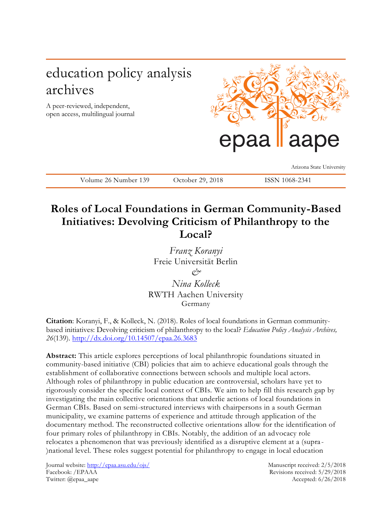# education policy analysis archives

A peer-reviewed, independent, open access, multilingual journal



Arizona State University

Volume 26 Number 139 October 29, 2018 ISSN 1068-2341

# **Roles of Local Foundations in German Community-Based Initiatives: Devolving Criticism of Philanthropy to the Local?**

*Franz Koranyi* Freie Universität Berlin *& Nina Kolleck* RWTH Aachen University

Germany

**Citation**: Koranyi, F., & Kolleck, N. (2018). Roles of local foundations in German communitybased initiatives: Devolving criticism of philanthropy to the local? *Education Policy Analysis Archives, 26*(139).<http://dx.doi.org/10.14507/epaa.26.3683>

**Abstract:** This article explores perceptions of local philanthropic foundations situated in community-based initiative (CBI) policies that aim to achieve educational goals through the establishment of collaborative connections between schools and multiple local actors. Although roles of philanthropy in public education are controversial, scholars have yet to rigorously consider the specific local context of CBIs. We aim to help fill this research gap by investigating the main collective orientations that underlie actions of local foundations in German CBIs. Based on semi-structured interviews with chairpersons in a south German municipality, we examine patterns of experience and attitude through application of the documentary method. The reconstructed collective orientations allow for the identification of four primary roles of philanthropy in CBIs. Notably, the addition of an advocacy role relocates a phenomenon that was previously identified as a disruptive element at a (supra - )national level. These roles suggest potential for philanthropy to engage in local education

Journal website:<http://epaa.asu.edu/ojs/> Manuscript received: 2/5/2018 Facebook: /EPAAA Revisions received: 5/29/2018 Twitter: @epaa\_aape Accepted: 6/26/2018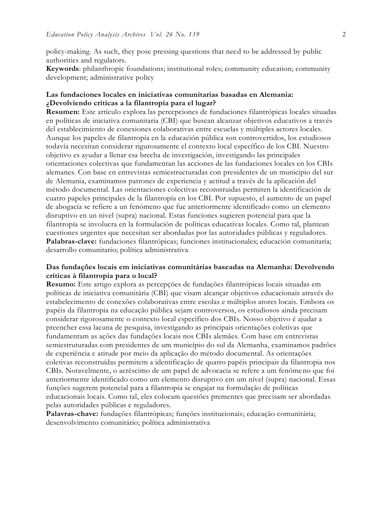policy-making. As such, they pose pressing questions that need to be addressed by public authorities and regulators.

**Keywords**: philanthropic foundations; institutional roles; community education; community development; administrative policy

# **Las fundaciones locales en iniciativas comunitarias basadas en Alemania: ¿Devolviendo críticas a la filantropía para el lugar?**

**Resumen:** Este artículo explora las percepciones de fundaciones filantrópicas locales situadas en políticas de iniciativa comunitaria (CBI) que buscan alcanzar objetivos educativos a través del establecimiento de conexiones colaborativas entre escuelas y múltiples actores locales. Aunque los papeles de filantropía en la educación pública son controvertidos, los estudiosos todavía necesitan considerar rigurosamente el contexto local específico de los CBI. Nuestro objetivo es ayudar a llenar esa brecha de investigación, investigando las principales orientaciones colectivas que fundamentan las acciones de las fundaciones locales en los CBIs alemanes. Con base en entrevistas semiestructuradas con presidentes de un municipio del sur de Alemania, examinamos patrones de experiencia y actitud a través de la aplicación del método documental. Las orientaciones colectivas reconstruidas permiten la identificación de cuatro papeles principales de la filantropía en los CBI. Por supuesto, el aumento de un papel de abogacía se refiere a un fenómeno que fue anteriormente identificado como un elemento disruptivo en un nivel (supra) nacional. Estas funciones sugieren potencial para que la filantropía se involucra en la formulación de políticas educativas locales. Como tal, plantean cuestiones urgentes que necesitan ser abordadas por las autoridades públicas y reguladores. **Palabras-clave:** fundaciones filantrópicas; funciones institucionales; educación comunitaria; desarrollo comunitario; política administrativa

# **Das fundações locais em iniciativas comunitárias baseadas na Alemanha: Devolvendo críticas à filantropia para o local?**

**Resumo:** Este artigo explora as percepções de fundações filantrópicas locais situadas em políticas de iniciativa comunitária (CBI) que visam alcançar objetivos educacionais através do estabelecimento de conexões colaborativas entre escolas e múltiplos atores locais. Embora os papéis da filantropia na educação pública sejam controversos, os estudiosos ainda precisam considerar rigorosamente o contexto local específico dos CBIs. Nosso objetivo é ajudar a preencher essa lacuna de pesquisa, investigando as principais orientações coletivas que fundamentam as ações das fundações locais nos CBIs alemães. Com base em entrevistas semiestruturadas com presidentes de um município do sul da Alemanha, examinamos padrões de experiência e atitude por meio da aplicação do método documental. As orientações coletivas reconstruídas permitem a identificação de quatro papéis principais da filantropia nos CBIs. Notavelmente, o acréscimo de um papel de advocacia se refere a um fenômeno que foi anteriormente identificado como um elemento disruptivo em um nível (supra) nacional. Essas funções sugerem potencial para a filantropia se engajar na formulação de políticas educacionais locais. Como tal, eles colocam questões prementes que precisam ser abordadas pelas autoridades públicas e reguladores.

**Palavras-chave:** fundações filantrópicas; funções institucionais; educação comunitária; desenvolvimento comunitário; política administrativa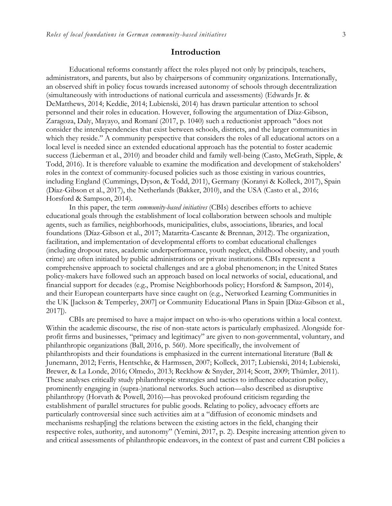# **Introduction**

Educational reforms constantly affect the roles played not only by principals, teachers, administrators, and parents, but also by chairpersons of community organizations. Internationally, an observed shift in policy focus towards increased autonomy of schools through decentralization (simultaneously with introductions of national curricula and assessments) (Edwards Jr. & DeMatthews, 2014; Keddie, 2014; Lubienski, 2014) has drawn particular attention to school personnel and their roles in education. However, following the argumentation of Díaz-Gibson, Zaragoza, Daly, Mayayo, and Romaní (2017, p. 1040) such a reductionist approach "does not consider the interdependencies that exist between schools, districts, and the larger communities in which they reside." A community perspective that considers the roles of all educational actors on a local level is needed since an extended educational approach has the potential to foster academic success (Lieberman et al., 2010) and broader child and family well-being (Casto, McGrath, Sipple, & Todd, 2016). It is therefore valuable to examine the modification and development of stakeholders' roles in the context of community-focused policies such as those existing in various countries, including England (Cummings, Dyson, & Todd, 2011), Germany (Koranyi & Kolleck, 2017), Spain (Díaz-Gibson et al., 2017), the Netherlands (Bakker, 2010), and the USA (Casto et al., 2016; Horsford & Sampson, 2014).

In this paper, the term *community-based initiatives* (CBIs) describes efforts to achieve educational goals through the establishment of local collaboration between schools and multiple agents, such as families, neighborhoods, municipalities, clubs, associations, libraries, and local foundations (Díaz-Gibson et al., 2017; Matarrita-Cascante & Brennan, 2012). The organization, facilitation, and implementation of developmental efforts to combat educational challenges (including dropout rates, academic underperformance, youth neglect, childhood obesity, and youth crime) are often initiated by public administrations or private institutions. CBIs represent a comprehensive approach to societal challenges and are a global phenomenon; in the United States policy-makers have followed such an approach based on local networks of social, educational, and financial support for decades (e.g., Promise Neighborhoods policy; Horsford & Sampson, 2014), and their European counterparts have since caught on (e.g., Networked Learning Communities in the UK [Jackson & Temperley, 2007] or Community Educational Plans in Spain [Díaz-Gibson et al., 2017]).

CBIs are premised to have a major impact on who-is-who operations within a local context. Within the academic discourse, the rise of non-state actors is particularly emphasized. Alongside forprofit firms and businesses, "primacy and legitimacy" are given to non-governmental, voluntary, and philanthropic organizations (Ball, 2016, p. 560). More specifically, the involvement of philanthropists and their foundations is emphasized in the current international literature (Ball & Junemann, 2012; Ferris, Hentschke, & Harmssen, 2007; Kolleck, 2017; Lubienski, 2014; Lubienski, Brewer, & La Londe, 2016; Olmedo, 2013; Reckhow & Snyder, 2014; Scott, 2009; Thümler, 2011). These analyses critically study philanthropic strategies and tactics to influence education policy, prominently engaging in (supra-)national networks. Such action—also described as disruptive philanthropy (Horvath & Powell, 2016)—has provoked profound criticism regarding the establishment of parallel structures for public goods. Relating to policy, advocacy efforts are particularly controversial since such activities aim at a "diffusion of economic mindsets and mechanisms reshap[ing] the relations between the existing actors in the field, changing their respective roles, authority, and autonomy" (Yemini, 2017, p. 2). Despite increasing attention given to and critical assessments of philanthropic endeavors, in the context of past and current CBI policies a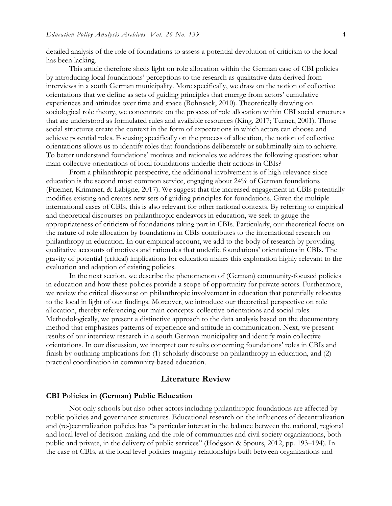detailed analysis of the role of foundations to assess a potential devolution of criticism to the local has been lacking.

This article therefore sheds light on role allocation within the German case of CBI policies by introducing local foundations' perceptions to the research as qualitative data derived from interviews in a south German municipality. More specifically, we draw on the notion of collective orientations that we define as sets of guiding principles that emerge from actors' cumulative experiences and attitudes over time and space (Bohnsack, 2010). Theoretically drawing on sociological role theory, we concentrate on the process of role allocation within CBI social structures that are understood as formulated rules and available resources (King, 2017; Turner, 2001). Those social structures create the context in the form of expectations in which actors can choose and achieve potential roles. Focusing specifically on the process of allocation, the notion of collective orientations allows us to identify roles that foundations deliberately or subliminally aim to achieve. To better understand foundations' motives and rationales we address the following question: what main collective orientations of local foundations underlie their actions in CBIs?

From a philanthropic perspective, the additional involvement is of high relevance since education is the second most common service, engaging about 24% of German foundations (Priemer, Krimmer, & Labigne, 2017). We suggest that the increased engagement in CBIs potentially modifies existing and creates new sets of guiding principles for foundations. Given the multiple international cases of CBIs, this is also relevant for other national contexts. By referring to empirical and theoretical discourses on philanthropic endeavors in education, we seek to gauge the appropriateness of criticism of foundations taking part in CBIs. Particularly, our theoretical focus on the nature of role allocation by foundations in CBIs contributes to the international research on philanthropy in education. In our empirical account, we add to the body of research by providing qualitative accounts of motives and rationales that underlie foundations' orientations in CBIs. The gravity of potential (critical) implications for education makes this exploration highly relevant to the evaluation and adaption of existing policies.

In the next section, we describe the phenomenon of (German) community-focused policies in education and how these policies provide a scope of opportunity for private actors. Furthermore, we review the critical discourse on philanthropic involvement in education that potentially relocates to the local in light of our findings. Moreover, we introduce our theoretical perspective on role allocation, thereby referencing our main concepts: collective orientations and social roles. Methodologically, we present a distinctive approach to the data analysis based on the documentary method that emphasizes patterns of experience and attitude in communication. Next, we present results of our interview research in a south German municipality and identify main collective orientations. In our discussion, we interpret our results concerning foundations' roles in CBIs and finish by outlining implications for: (1) scholarly discourse on philanthropy in education, and (2) practical coordination in community-based education.

# **Literature Review**

#### **CBI Policies in (German) Public Education**

Not only schools but also other actors including philanthropic foundations are affected by public policies and governance structures. Educational research on the influences of decentralization and (re-)centralization policies has "a particular interest in the balance between the national, regional and local level of decision-making and the role of communities and civil society organizations, both public and private, in the delivery of public services" (Hodgson & Spours, 2012, pp. 193–194). In the case of CBIs, at the local level policies magnify relationships built between organizations and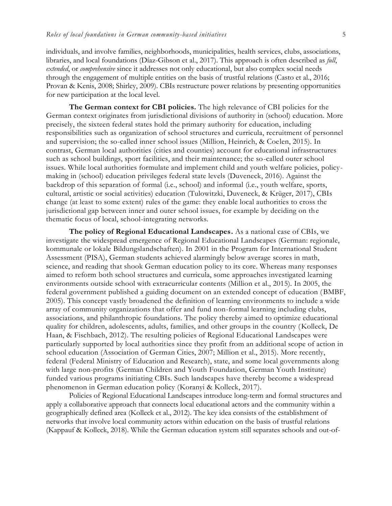individuals, and involve families, neighborhoods, municipalities, health services, clubs, associations, libraries, and local foundations (Díaz-Gibson et al., 2017). This approach is often described as *full*, *extended*, or *comprehensive* since it addresses not only educational, but also complex social needs through the engagement of multiple entities on the basis of trustful relations (Casto et al., 2016; Provan & Kenis, 2008; Shirley, 2009). CBIs restructure power relations by presenting opportunities for new participation at the local level.

**The German context for CBI policies.** The high relevance of CBI policies for the German context originates from jurisdictional divisions of authority in (school) education. More precisely, the sixteen federal states hold the primary authority for education, including responsibilities such as organization of school structures and curricula, recruitment of personnel and supervision; the so-called inner school issues (Million, Heinrich, & Coelen, 2015). In contrast, German local authorities (cities and counties) account for educational infrastructures such as school buildings, sport facilities, and their maintenance; the so-called outer school issues. While local authorities formulate and implement child and youth welfare policies, policymaking in (school) education privileges federal state levels (Duveneck, 2016). Against the backdrop of this separation of formal (i.e., school) and informal (i.e., youth welfare, sports, cultural, artistic or social activities) education (Tulowitzki, Duveneck, & Krüger, 2017), CBIs change (at least to some extent) rules of the game: they enable local authorities to cross the jurisdictional gap between inner and outer school issues, for example by deciding on the thematic focus of local, school-integrating networks.

**The policy of Regional Educational Landscapes.** As a national case of CBIs, we investigate the widespread emergence of Regional Educational Landscapes (German: regionale, kommunale or lokale Bildungslandschaften). In 2001 in the Program for International Student Assessment (PISA), German students achieved alarmingly below average scores in math, science, and reading that shook German education policy to its core. Whereas many responses aimed to reform both school structures and curricula, some approaches investigated learning environments outside school with extracurricular contents (Million et al., 2015). In 2005, the federal government published a guiding document on an extended concept of education (BMBF, 2005). This concept vastly broadened the definition of learning environments to include a wide array of community organizations that offer and fund non-formal learning including clubs, associations, and philanthropic foundations. The policy thereby aimed to optimize educational quality for children, adolescents, adults, families, and other groups in the country (Kolleck, De Haan, & Fischbach, 2012). The resulting policies of Regional Educational Landscapes were particularly supported by local authorities since they profit from an additional scope of action in school education (Association of German Cities, 2007; Million et al., 2015). More recently, federal (Federal Ministry of Education and Research), state, and some local governments along with large non-profits (German Children and Youth Foundation, German Youth Institute) funded various programs initiating CBIs. Such landscapes have thereby become a widespread phenomenon in German education policy (Koranyi & Kolleck, 2017).

Policies of Regional Educational Landscapes introduce long-term and formal structures and apply a collaborative approach that connects local educational actors and the community within a geographically defined area (Kolleck et al., 2012). The key idea consists of the establishment of networks that involve local community actors within education on the basis of trustful relations (Kappauf & Kolleck, 2018). While the German education system still separates schools and out-of-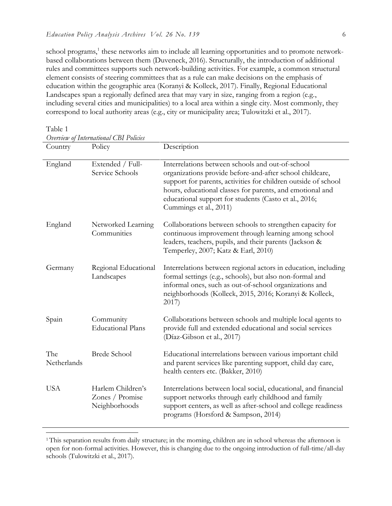school programs,<sup>1</sup> these networks aim to include all learning opportunities and to promote networkbased collaborations between them (Duveneck, 2016). Structurally, the introduction of additional rules and committees supports such network-building activities. For example, a common structural element consists of steering committees that as a rule can make decisions on the emphasis of education within the geographic area (Koranyi & Kolleck, 2017). Finally, Regional Educational Landscapes span a regionally defined area that may vary in size, ranging from a region (e.g., including several cities and municipalities) to a local area within a single city. Most commonly, they correspond to local authority areas (e.g., city or municipality area; Tulowitzki et al., 2017).

Table 1

| Country            | Policy                                                | Description                                                                                                                                                                                                                                                                                                                    |
|--------------------|-------------------------------------------------------|--------------------------------------------------------------------------------------------------------------------------------------------------------------------------------------------------------------------------------------------------------------------------------------------------------------------------------|
| England            | Extended / Full-<br>Service Schools                   | Interrelations between schools and out-of-school<br>organizations provide before-and-after school childcare,<br>support for parents, activities for children outside of school<br>hours, educational classes for parents, and emotional and<br>educational support for students (Casto et al., 2016;<br>Cummings et al., 2011) |
| England            | Networked Learning<br>Communities                     | Collaborations between schools to strengthen capacity for<br>continuous improvement through learning among school<br>leaders, teachers, pupils, and their parents (Jackson &<br>Temperley, 2007; Katz & Earl, 2010)                                                                                                            |
| Germany            | Regional Educational<br>Landscapes                    | Interrelations between regional actors in education, including<br>formal settings (e.g., schools), but also non-formal and<br>informal ones, such as out-of-school organizations and<br>neighborhoods (Kolleck, 2015, 2016; Koranyi & Kolleck,<br>2017)                                                                        |
| Spain              | Community<br><b>Educational Plans</b>                 | Collaborations between schools and multiple local agents to<br>provide full and extended educational and social services<br>(Díaz-Gibson et al., 2017)                                                                                                                                                                         |
| The<br>Netherlands | <b>Brede School</b>                                   | Educational interrelations between various important child<br>and parent services like parenting support, child day care,<br>health centers etc. (Bakker, 2010)                                                                                                                                                                |
| <b>USA</b>         | Harlem Children's<br>Zones / Promise<br>Neighborhoods | Interrelations between local social, educational, and financial<br>support networks through early childhood and family<br>support centers, as well as after-school and college readiness<br>programs (Horsford & Sampson, 2014)                                                                                                |

<sup>&</sup>lt;sup>1</sup> This separation results from daily structure; in the morning, children are in school whereas the afternoon is open for non-formal activities. However, this is changing due to the ongoing introduction of full-time/all-day schools (Tulowitzki et al., 2017).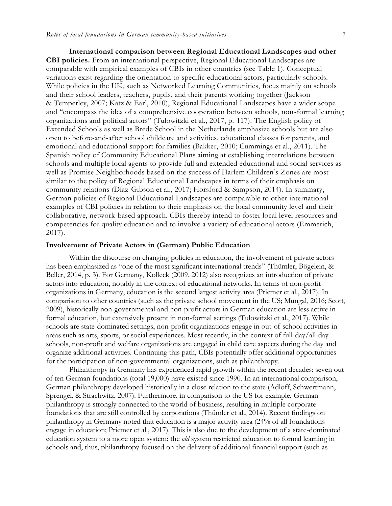**International comparison between Regional Educational Landscapes and other CBI policies.** From an international perspective, Regional Educational Landscapes are comparable with empirical examples of CBIs in other countries (see Table 1). Conceptual variations exist regarding the orientation to specific educational actors, particularly schools. While policies in the UK, such as Networked Learning Communities, focus mainly on schools and their school leaders, teachers, pupils, and their parents working together (Jackson & Temperley, 2007; Katz & Earl, 2010), Regional Educational Landscapes have a wider scope and "encompass the idea of a comprehensive cooperation between schools, non-formal learning organizations and political actors" (Tulowitzki et al., 2017, p. 117). The English policy of Extended Schools as well as Brede School in the Netherlands emphasize schools but are also open to before-and-after school childcare and activities, educational classes for parents, and emotional and educational support for families (Bakker, 2010; Cummings et al., 2011). The Spanish policy of Community Educational Plans aiming at establishing interrelations between schools and multiple local agents to provide full and extended educational and social services as well as Promise Neighborhoods based on the success of Harlem Children's Zones are most similar to the policy of Regional Educational Landscapes in terms of their emphasis on community relations (Díaz-Gibson et al., 2017; Horsford & Sampson, 2014). In summary, German policies of Regional Educational Landscapes are comparable to other international examples of CBI policies in relation to their emphasis on the local community level and their collaborative, network-based approach. CBIs thereby intend to foster local level resources and competencies for quality education and to involve a variety of educational actors (Emmerich, 2017).

#### **Involvement of Private Actors in (German) Public Education**

Within the discourse on changing policies in education, the involvement of private actors has been emphasized as "one of the most significant international trends" (Thümler, Bögelein, & Beller, 2014, p. 3). For Germany, Kolleck (2009, 2012) also recognizes an introduction of private actors into education, notably in the context of educational networks. In terms of non-profit organizations in Germany, education is the second largest activity area (Priemer et al., 2017). In comparison to other countries (such as the private school movement in the US; Mungal, 2016; Scott, 2009), historically non-governmental and non-profit actors in German education are less active in formal education, but extensively present in non-formal settings (Tulowitzki et al., 2017). While schools are state-dominated settings, non-profit organizations engage in out-of-school activities in areas such as arts, sports, or social experiences. Most recently, in the context of full-day/all-day schools, non-profit and welfare organizations are engaged in child care aspects during the day and organize additional activities. Continuing this path, CBIs potentially offer additional opportunities for the participation of non-governmental organizations, such as philanthropy.

Philanthropy in Germany has experienced rapid growth within the recent decades: seven out of ten German foundations (total 19,000) have existed since 1990. In an international comparison, German philanthropy developed historically in a close relation to the state (Adloff, Schwertmann, Sprengel, & Strachwitz, 2007). Furthermore, in comparison to the US for example, German philanthropy is strongly connected to the world of business, resulting in multiple corporate foundations that are still controlled by corporations (Thümler et al., 2014). Recent findings on philanthropy in Germany noted that education is a major activity area (24% of all foundations engage in education; Priemer et al., 2017). This is also due to the development of a state-dominated education system to a more open system: the *old* system restricted education to formal learning in schools and, thus, philanthropy focused on the delivery of additional financial support (such as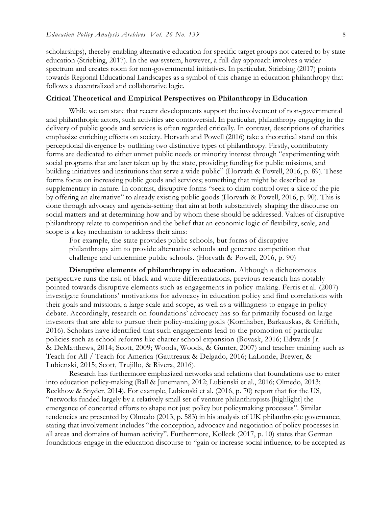scholarships), thereby enabling alternative education for specific target groups not catered to by state education (Striebing, 2017). In the *new* system, however, a full-day approach involves a wider spectrum and creates room for non-governmental initiatives. In particular, Striebing (2017) points towards Regional Educational Landscapes as a symbol of this change in education philanthropy that follows a decentralized and collaborative logic.

### **Critical Theoretical and Empirical Perspectives on Philanthropy in Education**

While we can state that recent developments support the involvement of non-governmental and philanthropic actors, such activities are controversial. In particular, philanthropy engaging in the delivery of public goods and services is often regarded critically. In contrast, descriptions of charities emphasize enriching effects on society. Horvath and Powell (2016) take a theoretical stand on this perceptional divergence by outlining two distinctive types of philanthropy. Firstly, contributory forms are dedicated to either unmet public needs or minority interest through "experimenting with social programs that are later taken up by the state, providing funding for public missions, and building initiatives and institutions that serve a wide public" (Horvath & Powell, 2016, p. 89). These forms focus on increasing public goods and services; something that might be described as supplementary in nature. In contrast, disruptive forms "seek to claim control over a slice of the pie by offering an alternative" to already existing public goods (Horvath & Powell, 2016, p. 90). This is done through advocacy and agenda-setting that aim at both substantively shaping the discourse on social matters and at determining how and by whom these should be addressed. Values of disruptive philanthropy relate to competition and the belief that an economic logic of flexibility, scale, and scope is a key mechanism to address their aims:

For example, the state provides public schools, but forms of disruptive philanthropy aim to provide alternative schools and generate competition that challenge and undermine public schools. (Horvath & Powell, 2016, p. 90)

**Disruptive elements of philanthropy in education.** Although a dichotomous perspective runs the risk of black and white differentiations, previous research has notably pointed towards disruptive elements such as engagements in policy-making. Ferris et al. (2007) investigate foundations' motivations for advocacy in education policy and find correlations with their goals and missions, a large scale and scope, as well as a willingness to engage in policy debate. Accordingly, research on foundations' advocacy has so far primarily focused on large investors that are able to pursue their policy-making goals (Kornhaber, Barkauskas, & Griffith, 2016). Scholars have identified that such engagements lead to the promotion of particular policies such as school reforms like charter school expansion (Boyask, 2016; Edwards Jr. & DeMatthews, 2014; Scott, 2009; Woods, Woods, & Gunter, 2007) and teacher training such as Teach for All / Teach for America (Gautreaux & Delgado, 2016; LaLonde, Brewer, & Lubienski, 2015; Scott, Trujillo, & Rivera, 2016).

Research has furthermore emphasized networks and relations that foundations use to enter into education policy-making (Ball & Junemann, 2012; Lubienski et al., 2016; Olmedo, 2013; Reckhow & Snyder, 2014). For example, Lubienski et al. (2016, p. 70) report that for the US, "networks funded largely by a relatively small set of venture philanthropists [highlight] the emergence of concerted efforts to shape not just policy but policymaking processes". Similar tendencies are presented by Olmedo (2013, p. 583) in his analysis of UK philanthropic governance, stating that involvement includes "the conception, advocacy and negotiation of policy processes in all areas and domains of human activity". Furthermore, Kolleck (2017, p. 10) states that German foundations engage in the education discourse to "gain or increase social influence, to be accepted as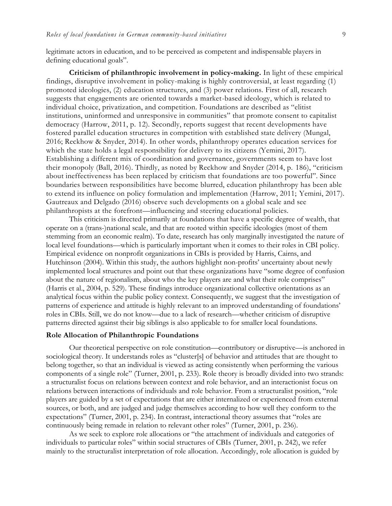legitimate actors in education, and to be perceived as competent and indispensable players in defining educational goals".

**Criticism of philanthropic involvement in policy-making.** In light of these empirical findings, disruptive involvement in policy-making is highly controversial, at least regarding (1) promoted ideologies, (2) education structures, and (3) power relations. First of all, research suggests that engagements are oriented towards a market-based ideology, which is related to individual choice, privatization, and competition. Foundations are described as "elitist institutions, uninformed and unresponsive in communities" that promote consent to capitalist democracy (Harrow, 2011, p. 12). Secondly, reports suggest that recent developments have fostered parallel education structures in competition with established state delivery (Mungal, 2016; Reckhow & Snyder, 2014). In other words, philanthropy operates education services for which the state holds a legal responsibility for delivery to its citizens (Yemini, 2017). Establishing a different mix of coordination and governance, governments seem to have lost their monopoly (Ball, 2016). Thirdly, as noted by Reckhow and Snyder (2014, p. 186), "criticism about ineffectiveness has been replaced by criticism that foundations are too powerful". Since boundaries between responsibilities have become blurred, education philanthropy has been able to extend its influence on policy formulation and implementation (Harrow, 2011; Yemini, 2017). Gautreaux and Delgado (2016) observe such developments on a global scale and see philanthropists at the forefront—influencing and steering educational policies.

This criticism is directed primarily at foundations that have a specific degree of wealth, that operate on a (trans-)national scale, and that are rooted within specific ideologies (most of them stemming from an economic realm). To date, research has only marginally investigated the nature of local level foundations—which is particularly important when it comes to their roles in CBI policy. Empirical evidence on nonprofit organizations in CBIs is provided by Harris, Cairns, and Hutchinson (2004). Within this study, the authors highlight non-profits' uncertainty about newly implemented local structures and point out that these organizations have "some degree of confusion about the nature of regionalism, about who the key players are and what their role comprises" (Harris et al., 2004, p. 529). These findings introduce organizational collective orientations as an analytical focus within the public policy context. Consequently, we suggest that the investigation of patterns of experience and attitude is highly relevant to an improved understanding of foundations' roles in CBIs. Still, we do not know—due to a lack of research—whether criticism of disruptive patterns directed against their big siblings is also applicable to for smaller local foundations.

#### **Role Allocation of Philanthropic Foundations**

Our theoretical perspective on role constitution—contributory or disruptive—is anchored in sociological theory. It understands roles as "cluster[s] of behavior and attitudes that are thought to belong together, so that an individual is viewed as acting consistently when performing the various components of a single role" (Turner, 2001, p. 233). Role theory is broadly divided into two strands: a structuralist focus on relations between context and role behavior, and an interactionist focus on relations between interactions of individuals and role behavior. From a structuralist position, "role players are guided by a set of expectations that are either internalized or experienced from external sources, or both, and are judged and judge themselves according to how well they conform to the expectations" (Turner, 2001, p. 234). In contrast, interactional theory assumes that "roles are continuously being remade in relation to relevant other roles" (Turner, 2001, p. 236).

As we seek to explore role allocations or "the attachment of individuals and categories of individuals to particular roles" within social structures of CBIs (Turner, 2001, p. 242), we refer mainly to the structuralist interpretation of role allocation. Accordingly, role allocation is guided by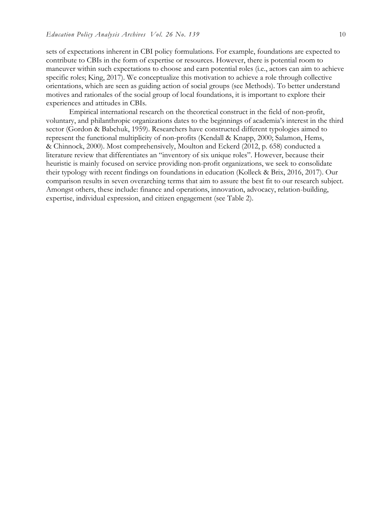sets of expectations inherent in CBI policy formulations. For example, foundations are expected to contribute to CBIs in the form of expertise or resources. However, there is potential room to maneuver within such expectations to choose and earn potential roles (i.e., actors can aim to achieve specific roles; King, 2017). We conceptualize this motivation to achieve a role through collective orientations, which are seen as guiding action of social groups (see Methods). To better understand motives and rationales of the social group of local foundations, it is important to explore their experiences and attitudes in CBIs.

Empirical international research on the theoretical construct in the field of non-profit, voluntary, and philanthropic organizations dates to the beginnings of academia's interest in the third sector (Gordon & Babchuk, 1959). Researchers have constructed different typologies aimed to represent the functional multiplicity of non-profits (Kendall & Knapp, 2000; Salamon, Hems, & Chinnock, 2000). Most comprehensively, Moulton and Eckerd (2012, p. 658) conducted a literature review that differentiates an "inventory of six unique roles". However, because their heuristic is mainly focused on service providing non-profit organizations, we seek to consolidate their typology with recent findings on foundations in education (Kolleck & Brix, 2016, 2017). Our comparison results in seven overarching terms that aim to assure the best fit to our research subject. Amongst others, these include: finance and operations, innovation, advocacy, relation-building, expertise, individual expression, and citizen engagement (see Table 2).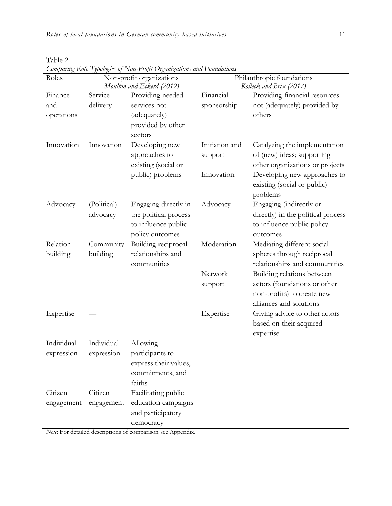Table 2

| Roles      | Comparing Tson Typologus of I von-1 roja Organizations and I omnations<br>Non-profit organizations |                       | Philanthropic foundations |                                    |  |
|------------|----------------------------------------------------------------------------------------------------|-----------------------|---------------------------|------------------------------------|--|
|            | Moulton and Eckerd (2012)                                                                          |                       | Kolleck and Brix (2017)   |                                    |  |
| Finance    | Service                                                                                            | Providing needed      | Financial                 | Providing financial resources      |  |
| and        | delivery                                                                                           | services not          | sponsorship               | not (adequately) provided by       |  |
| operations |                                                                                                    | (adequately)          |                           | others                             |  |
|            |                                                                                                    | provided by other     |                           |                                    |  |
|            |                                                                                                    | sectors               |                           |                                    |  |
| Innovation | Innovation                                                                                         | Developing new        | Initiation and            | Catalyzing the implementation      |  |
|            |                                                                                                    | approaches to         | support                   | of (new) ideas; supporting         |  |
|            |                                                                                                    | existing (social or   |                           | other organizations or projects    |  |
|            |                                                                                                    | public) problems      | Innovation                | Developing new approaches to       |  |
|            |                                                                                                    |                       |                           | existing (social or public)        |  |
|            |                                                                                                    |                       |                           | problems                           |  |
| Advocacy   | (Political)                                                                                        | Engaging directly in  | Advocacy                  | Engaging (indirectly or            |  |
|            | advocacy                                                                                           | the political process |                           | directly) in the political process |  |
|            |                                                                                                    | to influence public   |                           | to influence public policy         |  |
|            |                                                                                                    | policy outcomes       |                           | outcomes                           |  |
| Relation-  | Community                                                                                          | Building reciprocal   | Moderation                | Mediating different social         |  |
| building   | building                                                                                           | relationships and     |                           | spheres through reciprocal         |  |
|            |                                                                                                    | communities           |                           | relationships and communities      |  |
|            |                                                                                                    |                       | Network                   | Building relations between         |  |
|            |                                                                                                    |                       | support                   | actors (foundations or other       |  |
|            |                                                                                                    |                       |                           | non-profits) to create new         |  |
|            |                                                                                                    |                       |                           | alliances and solutions            |  |
| Expertise  |                                                                                                    |                       | Expertise                 | Giving advice to other actors      |  |
|            |                                                                                                    |                       |                           | based on their acquired            |  |
|            |                                                                                                    |                       |                           | expertise                          |  |
| Individual | Individual                                                                                         | Allowing              |                           |                                    |  |
| expression | expression                                                                                         | participants to       |                           |                                    |  |
|            |                                                                                                    | express their values, |                           |                                    |  |
|            |                                                                                                    | commitments, and      |                           |                                    |  |
|            |                                                                                                    | faiths                |                           |                                    |  |
| Citizen    | Citizen                                                                                            | Facilitating public   |                           |                                    |  |
| engagement | engagement                                                                                         | education campaigns   |                           |                                    |  |
|            |                                                                                                    | and participatory     |                           |                                    |  |
|            |                                                                                                    | democracy             |                           |                                    |  |

*Comparing Role Typologies of Non-Profit Organizations and Foundations*

*Note*: For detailed descriptions of comparison see Appendix.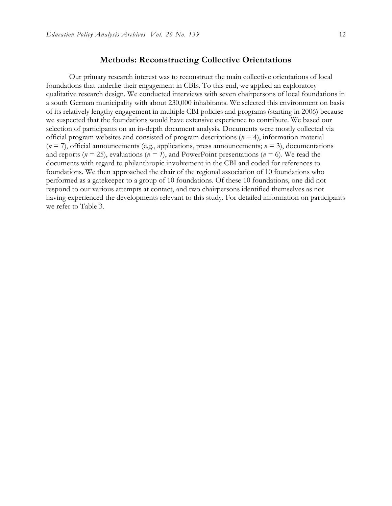### **Methods: Reconstructing Collective Orientations**

Our primary research interest was to reconstruct the main collective orientations of local foundations that underlie their engagement in CBIs. To this end, we applied an exploratory qualitative research design. We conducted interviews with seven chairpersons of local foundations in a south German municipality with about 230,000 inhabitants. We selected this environment on basis of its relatively lengthy engagement in multiple CBI policies and programs (starting in 2006) because we suspected that the foundations would have extensive experience to contribute. We based our selection of participants on an in-depth document analysis. Documents were mostly collected via official program websites and consisted of program descriptions (*n* = 4), information material  $(n = 7)$ , official announcements (e.g., applications, press announcements;  $n = 3$ ), documentations and reports ( $n = 25$ ), evaluations ( $n = 1$ ), and PowerPoint-presentations ( $n = 6$ ). We read the documents with regard to philanthropic involvement in the CBI and coded for references to foundations. We then approached the chair of the regional association of 10 foundations who performed as a gatekeeper to a group of 10 foundations. Of these 10 foundations, one did not respond to our various attempts at contact, and two chairpersons identified themselves as not having experienced the developments relevant to this study. For detailed information on participants we refer to Table 3.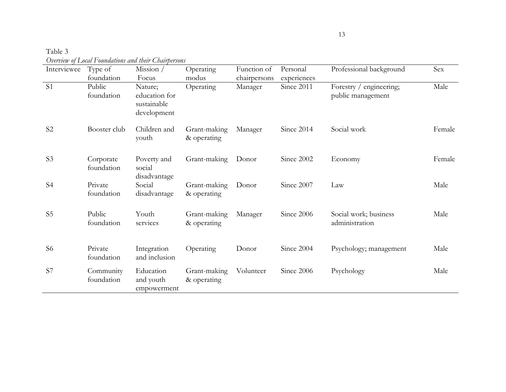| Table 3                                              |
|------------------------------------------------------|
| Overview of Local Foundations and their Chairpersons |

| Interviewee    | Type of                            | Overvew of Louis I omnumous and men Countpersons<br>Mission /   | Operating                   | Function of             | Personal                  | Professional background                      | Sex    |
|----------------|------------------------------------|-----------------------------------------------------------------|-----------------------------|-------------------------|---------------------------|----------------------------------------------|--------|
| S <sub>1</sub> | foundation<br>Public<br>foundation | Focus<br>Nature;<br>education for<br>sustainable<br>development | modus<br>Operating          | chairpersons<br>Manager | experiences<br>Since 2011 | Forestry / engineering;<br>public management | Male   |
| S <sub>2</sub> | Booster club                       | Children and<br>youth                                           | Grant-making<br>& operating | Manager                 | Since 2014                | Social work                                  | Female |
| S <sub>3</sub> | Corporate<br>foundation            | Poverty and<br>social<br>disadvantage                           | Grant-making                | Donor                   | Since 2002                | Economy                                      | Female |
| S <sub>4</sub> | Private<br>foundation              | Social<br>disadvantage                                          | Grant-making<br>& operating | Donor                   | Since 2007                | Law                                          | Male   |
| S <sub>5</sub> | Public<br>foundation               | Youth<br>services                                               | Grant-making<br>& operating | Manager                 | Since 2006                | Social work; business<br>administration      | Male   |
| S <sub>6</sub> | Private<br>foundation              | Integration<br>and inclusion                                    | Operating                   | Donor                   | Since 2004                | Psychology; management                       | Male   |
| S7             | Community<br>foundation            | Education<br>and youth<br>empowerment                           | Grant-making<br>& operating | Volunteer               | Since 2006                | Psychology                                   | Male   |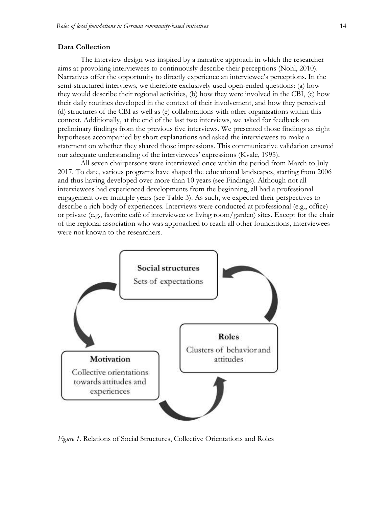#### **Data Collection**

The interview design was inspired by a narrative approach in which the researcher aims at provoking interviewees to continuously describe their perceptions (Nohl, 2010). Narratives offer the opportunity to directly experience an interviewee's perceptions. In the semi-structured interviews, we therefore exclusively used open-ended questions: (a) how they would describe their regional activities, (b) how they were involved in the CBI, (c) how their daily routines developed in the context of their involvement, and how they perceived (d) structures of the CBI as well as (e) collaborations with other organizations within this context. Additionally, at the end of the last two interviews, we asked for feedback on preliminary findings from the previous five interviews. We presented those findings as eight hypotheses accompanied by short explanations and asked the interviewees to make a statement on whether they shared those impressions. This communicative validation ensured our adequate understanding of the interviewees' expressions (Kvale, 1995).

All seven chairpersons were interviewed once within the period from March to July 2017. To date, various programs have shaped the educational landscapes, starting from 2006 and thus having developed over more than 10 years (see Findings). Although not all interviewees had experienced developments from the beginning, all had a professional engagement over multiple years (see Table 3). As such, we expected their perspectives to describe a rich body of experiences. Interviews were conducted at professional (e.g., office) or private (e.g., favorite café of interviewee or living room/garden) sites. Except for the chair of the regional association who was approached to reach all other foundations, interviewees were not known to the researchers.



*Figure 1.* Relations of Social Structures, Collective Orientations and Roles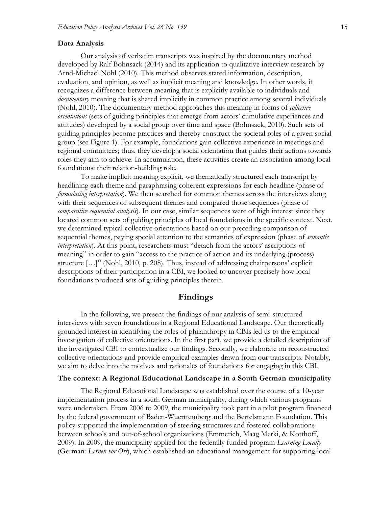#### **Data Analysis**

Our analysis of verbatim transcripts was inspired by the documentary method developed by Ralf Bohnsack (2014) and its application to qualitative interview research by Arnd-Michael Nohl (2010). This method observes stated information, description, evaluation, and opinion, as well as implicit meaning and knowledge. In other words, it recognizes a difference between meaning that is explicitly available to individuals and *documentary* meaning that is shared implicitly in common practice among several individuals (Nohl, 2010). The documentary method approaches this meaning in forms of *collective orientations* (sets of guiding principles that emerge from actors' cumulative experiences and attitudes) developed by a social group over time and space (Bohnsack, 2010). Such sets of guiding principles become practices and thereby construct the societal roles of a given social group (see Figure 1). For example, foundations gain collective experience in meetings and regional committees; thus, they develop a social orientation that guides their actions towards roles they aim to achieve. In accumulation, these activities create an association among local foundations: their relation-building role.

To make implicit meaning explicit, we thematically structured each transcript by headlining each theme and paraphrasing coherent expressions for each headline (phase of *formulating interpretation*). We then searched for common themes across the interviews along with their sequences of subsequent themes and compared those sequences (phase of *comparative sequential analysis*). In our case, similar sequences were of high interest since they located common sets of guiding principles of local foundations in the specific context. Next, we determined typical collective orientations based on our preceding comparison of sequential themes, paying special attention to the semantics of expression (phase of *semantic interpretation*). At this point, researchers must "detach from the actors' ascriptions of meaning" in order to gain "access to the practice of action and its underlying (process) structure […]" (Nohl, 2010, p. 208). Thus, instead of addressing chairpersons' explicit descriptions of their participation in a CBI, we looked to uncover precisely how local foundations produced sets of guiding principles therein.

#### **Findings**

In the following, we present the findings of our analysis of semi-structured interviews with seven foundations in a Regional Educational Landscape. Our theoretically grounded interest in identifying the roles of philanthropy in CBIs led us to the empirical investigation of collective orientations. In the first part, we provide a detailed description of the investigated CBI to contextualize our findings. Secondly, we elaborate on reconstructed collective orientations and provide empirical examples drawn from our transcripts. Notably, we aim to delve into the motives and rationales of foundations for engaging in this CBI.

#### **The context: A Regional Educational Landscape in a South German municipality**

The Regional Educational Landscape was established over the course of a 10-year implementation process in a south German municipality, during which various programs were undertaken. From 2006 to 2009, the municipality took part in a pilot program financed by the federal government of Baden-Wuerttemberg and the Bertelsmann Foundation. This policy supported the implementation of steering structures and fostered collaborations between schools and out-of-school organizations (Emmerich, Maag Merki, & Kotthoff, 2009). In 2009, the municipality applied for the federally funded program *Learning Locally* (German*: Lernen vor Ort*), which established an educational management for supporting local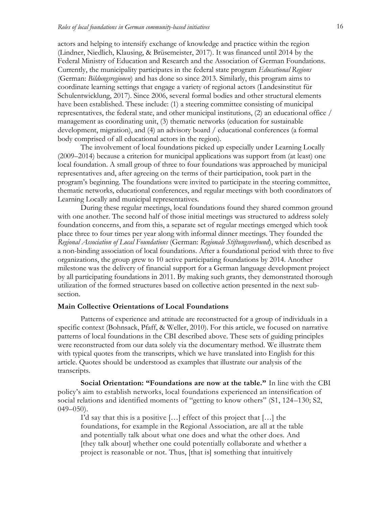actors and helping to intensify exchange of knowledge and practice within the region (Lindner, Niedlich, Klausing, & Brüsemeister, 2017). It was financed until 2014 by the Federal Ministry of Education and Research and the Association of German Foundations. Currently, the municipality participates in the federal state program *Educational Regions* (German: *Bildungsregionen*) and has done so since 2013. Similarly, this program aims to coordinate learning settings that engage a variety of regional actors (Landesinstitut für Schulentwicklung, 2017). Since 2006, several formal bodies and other structural elements have been established. These include: (1) a steering committee consisting of municipal representatives, the federal state, and other municipal institutions, (2) an educational office / management as coordinating unit, (3) thematic networks (education for sustainable development, migration), and (4) an advisory board / educational conferences (a formal body comprised of all educational actors in the region).

The involvement of local foundations picked up especially under Learning Locally (2009–2014) because a criterion for municipal applications was support from (at least) one local foundation. A small group of three to four foundations was approached by municipal representatives and, after agreeing on the terms of their participation, took part in the program's beginning. The foundations were invited to participate in the steering committee, thematic networks, educational conferences, and regular meetings with both coordinators of Learning Locally and municipal representatives.

During these regular meetings, local foundations found they shared common ground with one another. The second half of those initial meetings was structured to address solely foundation concerns, and from this, a separate set of regular meetings emerged which took place three to four times per year along with informal dinner meetings. They founded the *Regional Association of Local Foundations* (German: *Regionale Stiftungsverbund*), which described as a non-binding association of local foundations. After a foundational period with three to five organizations, the group grew to 10 active participating foundations by 2014. Another milestone was the delivery of financial support for a German language development project by all participating foundations in 2011. By making such grants, they demonstrated thorough utilization of the formed structures based on collective action presented in the next subsection.

### **Main Collective Orientations of Local Foundations**

Patterns of experience and attitude are reconstructed for a group of individuals in a specific context (Bohnsack, Pfaff, & Weller, 2010). For this article, we focused on narrative patterns of local foundations in the CBI described above. These sets of guiding principles were reconstructed from our data solely via the documentary method. We illustrate them with typical quotes from the transcripts, which we have translated into English for this article. Quotes should be understood as examples that illustrate our analysis of the transcripts.

**Social Orientation: "Foundations are now at the table."** In line with the CBI policy's aim to establish networks, local foundations experienced an intensification of social relations and identified moments of "getting to know others" (S1, 124–130; S2,  $049 - 050$ ).

I'd say that this is a positive […] effect of this project that […] the foundations, for example in the Regional Association, are all at the table and potentially talk about what one does and what the other does. And [they talk about] whether one could potentially collaborate and whether a project is reasonable or not. Thus, [that is] something that intuitively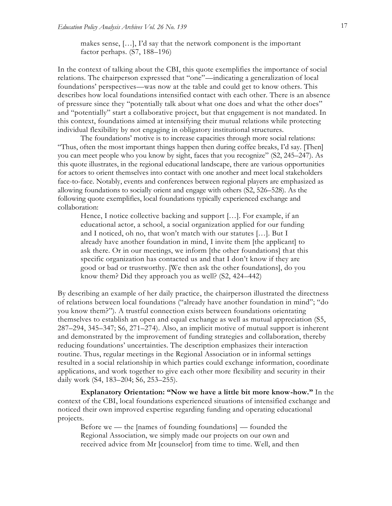makes sense, […], I'd say that the network component is the important factor perhaps. (S7, 188–196)

In the context of talking about the CBI, this quote exemplifies the importance of social relations. The chairperson expressed that "one"—indicating a generalization of local foundations' perspectives—was now at the table and could get to know others. This describes how local foundations intensified contact with each other. There is an absence of pressure since they "potentially talk about what one does and what the other does" and "potentially" start a collaborative project, but that engagement is not mandated. In this context, foundations aimed at intensifying their mutual relations while protecting individual flexibility by not engaging in obligatory institutional structures.

The foundations' motive is to increase capacities through more social relations: "Thus, often the most important things happen then during coffee breaks, I'd say. [Then] you can meet people who you know by sight, faces that you recognize" (S2, 245–247). As this quote illustrates, in the regional educational landscape, there are various opportunities for actors to orient themselves into contact with one another and meet local stakeholders face-to-face. Notably, events and conferences between regional players are emphasized as allowing foundations to socially orient and engage with others (S2, 526–528). As the following quote exemplifies, local foundations typically experienced exchange and collaboration:

Hence, I notice collective backing and support […]. For example, if an educational actor, a school, a social organization applied for our funding and I noticed, oh no, that won't match with our statutes […]. But I already have another foundation in mind, I invite them [the applicant] to ask there. Or in our meetings, we inform [the other foundations] that this specific organization has contacted us and that I don't know if they are good or bad or trustworthy. [We then ask the other foundations], do you know them? Did they approach you as well? (S2, 424–442)

By describing an example of her daily practice, the chairperson illustrated the directness of relations between local foundations ("already have another foundation in mind"; "do you know them?"). A trustful connection exists between foundations orientating themselves to establish an open and equal exchange as well as mutual appreciation (S5, 287–294, 345–347; S6, 271–274). Also, an implicit motive of mutual support is inherent and demonstrated by the improvement of funding strategies and collaboration, thereby reducing foundations' uncertainties. The description emphasizes their interaction routine. Thus, regular meetings in the Regional Association or in informal settings resulted in a social relationship in which parties could exchange information, coordinate applications, and work together to give each other more flexibility and security in their daily work (S4, 183–204; S6, 253–255).

**Explanatory Orientation: "Now we have a little bit more know-how."** In the context of the CBI, local foundations experienced situations of intensified exchange and noticed their own improved expertise regarding funding and operating educational projects.

Before we — the [names of founding foundations] — founded the Regional Association, we simply made our projects on our own and received advice from Mr [counselor] from time to time. Well, and then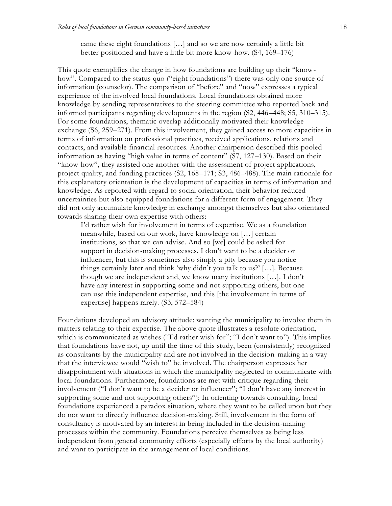came these eight foundations […] and so we are now certainly a little bit better positioned and have a little bit more know-how. (S4, 169–176)

This quote exemplifies the change in how foundations are building up their "knowhow". Compared to the status quo ("eight foundations") there was only one source of information (counselor). The comparison of "before" and "now" expresses a typical experience of the involved local foundations. Local foundations obtained more knowledge by sending representatives to the steering committee who reported back and informed participants regarding developments in the region (S2, 446–448; S5, 310–315). For some foundations, thematic overlap additionally motivated their knowledge exchange (S6, 259–271). From this involvement, they gained access to more capacities in terms of information on professional practices, received applications, relations and contacts, and available financial resources. Another chairperson described this pooled information as having "high value in terms of content" (S7, 127–130). Based on their "know-how", they assisted one another with the assessment of project applications, project quality, and funding practices (S2, 168–171; S3, 486–488). The main rationale for this explanatory orientation is the development of capacities in terms of information and knowledge. As reported with regard to social orientation, their behavior reduced uncertainties but also equipped foundations for a different form of engagement. They did not only accumulate knowledge in exchange amongst themselves but also orientated towards sharing their own expertise with others:

I'd rather wish for involvement in terms of expertise. We as a foundation meanwhile, based on our work, have knowledge on […] certain institutions, so that we can advise. And so [we] could be asked for support in decision-making processes. I don't want to be a decider or influencer, but this is sometimes also simply a pity because you notice things certainly later and think 'why didn't you talk to us?' […]. Because though we are independent and, we know many institutions […]. I don't have any interest in supporting some and not supporting others, but one can use this independent expertise, and this [the involvement in terms of expertise] happens rarely. (S3, 572–584)

Foundations developed an advisory attitude; wanting the municipality to involve them in matters relating to their expertise. The above quote illustrates a resolute orientation, which is communicated as wishes ("I'd rather wish for"; "I don't want to"). This implies that foundations have not, up until the time of this study, been (consistently) recognized as consultants by the municipality and are not involved in the decision-making in a way that the interviewee would "wish to" be involved. The chairperson expresses her disappointment with situations in which the municipality neglected to communicate with local foundations. Furthermore, foundations are met with critique regarding their involvement ("I don't want to be a decider or influencer"; "I don't have any interest in supporting some and not supporting others"): In orienting towards consulting, local foundations experienced a paradox situation, where they want to be called upon but they do not want to directly influence decision-making. Still, involvement in the form of consultancy is motivated by an interest in being included in the decision-making processes within the community. Foundations perceive themselves as being less independent from general community efforts (especially efforts by the local authority) and want to participate in the arrangement of local conditions.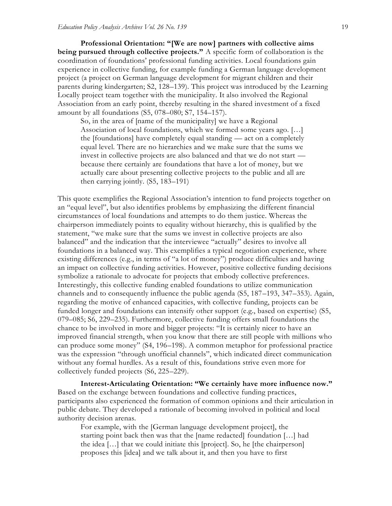**Professional Orientation: "[We are now] partners with collective aims being pursued through collective projects."** A specific form of collaboration is the coordination of foundations' professional funding activities. Local foundations gain experience in collective funding, for example funding a German language development project (a project on German language development for migrant children and their parents during kindergarten; S2, 128–139). This project was introduced by the Learning Locally project team together with the municipality. It also involved the Regional Association from an early point, thereby resulting in the shared investment of a fixed amount by all foundations (S5, 078–080; S7, 154–157).

So, in the area of [name of the municipality] we have a Regional Association of local foundations, which we formed some years ago. […] the [foundations] have completely equal standing — act on a completely equal level. There are no hierarchies and we make sure that the sums we invest in collective projects are also balanced and that we do not start because there certainly are foundations that have a lot of money, but we actually care about presenting collective projects to the public and all are then carrying jointly. (S5, 183–191)

This quote exemplifies the Regional Association's intention to fund projects together on an "equal level", but also identifies problems by emphasizing the different financial circumstances of local foundations and attempts to do them justice. Whereas the chairperson immediately points to equality without hierarchy, this is qualified by the statement, "we make sure that the sums we invest in collective projects are also balanced" and the indication that the interviewee "actually" desires to involve all foundations in a balanced way. This exemplifies a typical negotiation experience, where existing differences (e.g., in terms of "a lot of money") produce difficulties and having an impact on collective funding activities. However, positive collective funding decisions symbolize a rationale to advocate for projects that embody collective preferences. Interestingly, this collective funding enabled foundations to utilize communication channels and to consequently influence the public agenda (S5, 187–193, 347–353). Again, regarding the motive of enhanced capacities, with collective funding, projects can be funded longer and foundations can intensify other support (e.g., based on expertise) (S5, 079–085; S6, 229–235). Furthermore, collective funding offers small foundations the chance to be involved in more and bigger projects: "It is certainly nicer to have an improved financial strength, when you know that there are still people with millions who can produce some money" (S4, 196–198). A common metaphor for professional practice was the expression "through unofficial channels", which indicated direct communication without any formal hurdles. As a result of this, foundations strive even more for collectively funded projects (S6, 225–229).

**Interest-Articulating Orientation: "We certainly have more influence now."**  Based on the exchange between foundations and collective funding practices, participants also experienced the formation of common opinions and their articulation in public debate. They developed a rationale of becoming involved in political and local authority decision arenas.

For example, with the [German language development project], the starting point back then was that the [name redacted] foundation […] had the idea […] that we could initiate this [project]. So, he [the chairperson] proposes this [idea] and we talk about it, and then you have to first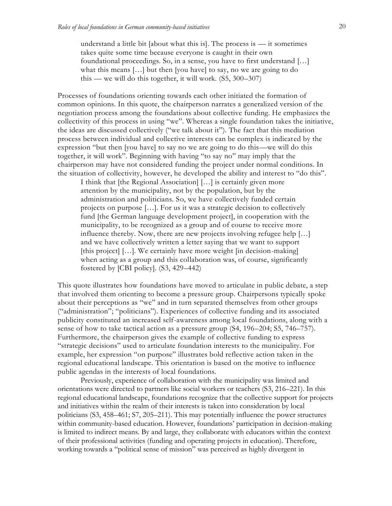understand a little bit [about what this is]. The process is  $-$  it sometimes takes quite some time because everyone is caught in their own foundational proceedings. So, in a sense, you have to first understand […] what this means [...] but then [you have] to say, no we are going to do this — we will do this together, it will work.  $(55, 300-307)$ 

Processes of foundations orienting towards each other initiated the formation of common opinions. In this quote, the chairperson narrates a generalized version of the negotiation process among the foundations about collective funding. He emphasizes the collectivity of this process in using "we". Whereas a single foundation takes the initiative, the ideas are discussed collectively ("we talk about it"). The fact that this mediation process between individual and collective interests can be complex is indicated by the expression "but then [you have] to say no we are going to do this—we will do this together, it will work". Beginning with having "to say no" may imply that the chairperson may have not considered funding the project under normal conditions. In the situation of collectivity, however, he developed the ability and interest to "do this".

I think that [the Regional Association] […] is certainly given more attention by the municipality, not by the population, but by the administration and politicians. So, we have collectively funded certain projects on purpose […]. For us it was a strategic decision to collectively fund [the German language development project], in cooperation with the municipality, to be recognized as a group and of course to receive more influence thereby. Now, there are new projects involving refugee help […] and we have collectively written a letter saying that we want to support [this project] [...]. We certainly have more weight [in decision-making] when acting as a group and this collaboration was, of course, significantly fostered by [CBI policy]. (S3, 429–442)

This quote illustrates how foundations have moved to articulate in public debate, a step that involved them orienting to become a pressure group. Chairpersons typically spoke about their perceptions as "we" and in turn separated themselves from other groups ("administration"; "politicians"). Experiences of collective funding and its associated publicity constituted an increased self-awareness among local foundations, along with a sense of how to take tactical action as a pressure group (S4, 196–204; S5, 746–757). Furthermore, the chairperson gives the example of collective funding to express "strategic decisions" used to articulate foundation interests to the municipality. For example, her expression "on purpose" illustrates bold reflective action taken in the regional educational landscape. This orientation is based on the motive to influence public agendas in the interests of local foundations.

Previously, experience of collaboration with the municipality was limited and orientations were directed to partners like social workers or teachers (S3, 216–221). In this regional educational landscape, foundations recognize that the collective support for projects and initiatives within the realm of their interests is taken into consideration by local politicians (S3, 458–461; S7, 205–211). This may potentially influence the power structures within community-based education. However, foundations' participation in decision-making is limited to indirect means. By and large, they collaborate with educators within the context of their professional activities (funding and operating projects in education). Therefore, working towards a "political sense of mission" was perceived as highly divergent in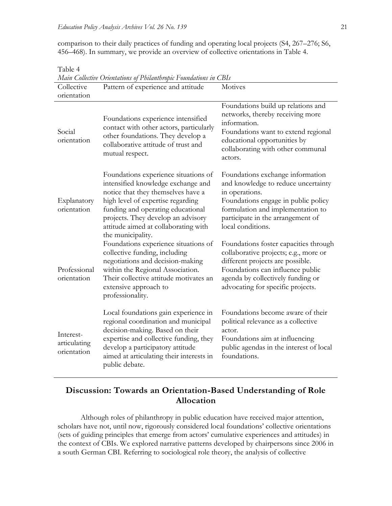comparison to their daily practices of funding and operating local projects (S4, 267–276; S6, 456–468). In summary, we provide an overview of collective orientations in Table 4.

| Main Collective Orientations of Philanthropic Foundations in CBIs |                                                                                                                                                                                                                                                                                               |                                                                                                                                                                                                                                  |  |  |  |
|-------------------------------------------------------------------|-----------------------------------------------------------------------------------------------------------------------------------------------------------------------------------------------------------------------------------------------------------------------------------------------|----------------------------------------------------------------------------------------------------------------------------------------------------------------------------------------------------------------------------------|--|--|--|
| Collective<br>orientation                                         | Pattern of experience and attitude                                                                                                                                                                                                                                                            | Motives                                                                                                                                                                                                                          |  |  |  |
| Social<br>orientation                                             | Foundations experience intensified<br>contact with other actors, particularly<br>other foundations. They develop a<br>collaborative attitude of trust and<br>mutual respect.                                                                                                                  | Foundations build up relations and<br>networks, thereby receiving more<br>information.<br>Foundations want to extend regional<br>educational opportunities by<br>collaborating with other communal<br>actors.                    |  |  |  |
| Explanatory<br>orientation                                        | Foundations experience situations of<br>intensified knowledge exchange and<br>notice that they themselves have a<br>high level of expertise regarding<br>funding and operating educational<br>projects. They develop an advisory<br>attitude aimed at collaborating with<br>the municipality. | Foundations exchange information<br>and knowledge to reduce uncertainty<br>in operations.<br>Foundations engage in public policy<br>formulation and implementation to<br>participate in the arrangement of<br>local conditions.  |  |  |  |
| Professional<br>orientation                                       | Foundations experience situations of<br>collective funding, including<br>negotiations and decision-making<br>within the Regional Association.<br>Their collective attitude motivates an<br>extensive approach to<br>professionality.                                                          | Foundations foster capacities through<br>collaborative projects; e.g., more or<br>different projects are possible.<br>Foundations can influence public<br>agenda by collectively funding or<br>advocating for specific projects. |  |  |  |
| Interest-<br>articulating<br>orientation                          | Local foundations gain experience in<br>regional coordination and municipal<br>decision-making. Based on their<br>expertise and collective funding, they<br>develop a participatory attitude<br>aimed at articulating their interests in<br>public debate.                                    | Foundations become aware of their<br>political relevance as a collective<br>actor.<br>Foundations aim at influencing<br>public agendas in the interest of local<br>foundations.                                                  |  |  |  |

Table 4

# **Discussion: Towards an Orientation-Based Understanding of Role Allocation**

Although roles of philanthropy in public education have received major attention, scholars have not, until now, rigorously considered local foundations' collective orientations (sets of guiding principles that emerge from actors' cumulative experiences and attitudes) in the context of CBIs. We explored narrative patterns developed by chairpersons since 2006 in a south German CBI. Referring to sociological role theory, the analysis of collective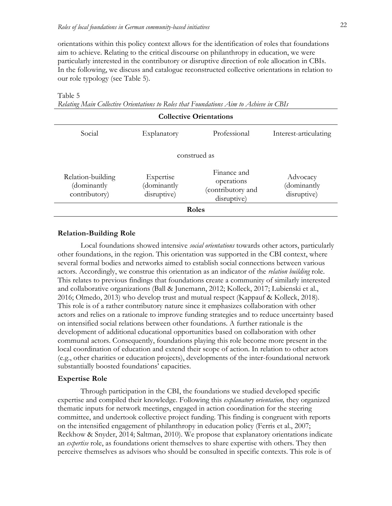orientations within this policy context allows for the identification of roles that foundations aim to achieve. Relating to the critical discourse on philanthropy in education, we were particularly interested in the contributory or disruptive direction of role allocation in CBIs. In the following, we discuss and catalogue reconstructed collective orientations in relation to our role typology (see Table 5).

| <b>Collective Orientations</b>                    |                                         |                                                               |                                        |  |  |  |
|---------------------------------------------------|-----------------------------------------|---------------------------------------------------------------|----------------------------------------|--|--|--|
| Social                                            | Explanatory                             | Professional                                                  | Interest-articulating                  |  |  |  |
| construed as                                      |                                         |                                                               |                                        |  |  |  |
| Relation-building<br>(dominantly<br>contributory) | Expertise<br>(dominantly<br>disruptive) | Finance and<br>operations<br>(contributory and<br>disruptive) | Advocacy<br>(dominantly<br>disruptive) |  |  |  |
| Roles                                             |                                         |                                                               |                                        |  |  |  |

Table 5

*Relating Main Collective Orientations to Roles that Foundations Aim to Achieve in CBIs*

#### **Relation-Building Role**

Local foundations showed intensive *social orientations* towards other actors, particularly other foundations, in the region. This orientation was supported in the CBI context, where several formal bodies and networks aimed to establish social connections between various actors. Accordingly, we construe this orientation as an indicator of the *relation building* role. This relates to previous findings that foundations create a community of similarly interested and collaborative organizations (Ball & Junemann, 2012; Kolleck, 2017; Lubienski et al., 2016; Olmedo, 2013) who develop trust and mutual respect (Kappauf & Kolleck, 2018). This role is of a rather contributory nature since it emphasizes collaboration with other actors and relies on a rationale to improve funding strategies and to reduce uncertainty based on intensified social relations between other foundations. A further rationale is the development of additional educational opportunities based on collaboration with other communal actors. Consequently, foundations playing this role become more present in the local coordination of education and extend their scope of action. In relation to other actors (e.g., other charities or education projects), developments of the inter-foundational network substantially boosted foundations' capacities.

#### **Expertise Role**

Through participation in the CBI, the foundations we studied developed specific expertise and compiled their knowledge. Following this *explanatory orientation,* they organized thematic inputs for network meetings, engaged in action coordination for the steering committee, and undertook collective project funding. This finding is congruent with reports on the intensified engagement of philanthropy in education policy (Ferris et al., 2007; Reckhow & Snyder, 2014; Saltman, 2010). We propose that explanatory orientations indicate an *expertise* role, as foundations orient themselves to share expertise with others. They then perceive themselves as advisors who should be consulted in specific contexts. This role is of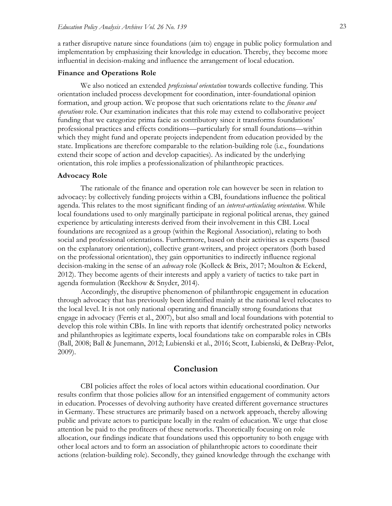a rather disruptive nature since foundations (aim to) engage in public policy formulation and implementation by emphasizing their knowledge in education. Thereby, they become more influential in decision-making and influence the arrangement of local education.

#### **Finance and Operations Role**

We also noticed an extended *professional orientation* towards collective funding. This orientation included process development for coordination, inter-foundational opinion formation, and group action. We propose that such orientations relate to the *finance and operations* role. Our examination indicates that this role may extend to collaborative project funding that we categorize prima facie as contributory since it transforms foundations' professional practices and effects conditions—particularly for small foundations—within which they might fund and operate projects independent from education provided by the state. Implications are therefore comparable to the relation-building role (i.e., foundations extend their scope of action and develop capacities). As indicated by the underlying orientation, this role implies a professionalization of philanthropic practices.

#### **Advocacy Role**

The rationale of the finance and operation role can however be seen in relation to advocacy: by collectively funding projects within a CBI, foundations influence the political agenda. This relates to the most significant finding of an *interest-articulating orientation*. While local foundations used to only marginally participate in regional political arenas, they gained experience by articulating interests derived from their involvement in this CBI. Local foundations are recognized as a group (within the Regional Association), relating to both social and professional orientations. Furthermore, based on their activities as experts (based on the explanatory orientation), collective grant-writers, and project operators (both based on the professional orientation), they gain opportunities to indirectly influence regional decision-making in the sense of an *advocacy* role (Kolleck & Brix, 2017; Moulton & Eckerd, 2012). They become agents of their interests and apply a variety of tactics to take part in agenda formulation (Reckhow & Snyder, 2014).

Accordingly, the disruptive phenomenon of philanthropic engagement in education through advocacy that has previously been identified mainly at the national level relocates to the local level. It is not only national operating and financially strong foundations that engage in advocacy (Ferris et al., 2007), but also small and local foundations with potential to develop this role within CBIs. In line with reports that identify orchestrated policy networks and philanthropies as legitimate experts, local foundations take on comparable roles in CBIs (Ball, 2008; Ball & Junemann, 2012; Lubienski et al., 2016; Scott, Lubienski, & DeBray-Pelot, 2009).

# **Conclusion**

CBI policies affect the roles of local actors within educational coordination. Our results confirm that those policies allow for an intensified engagement of community actors in education. Processes of devolving authority have created different governance structures in Germany. These structures are primarily based on a network approach, thereby allowing public and private actors to participate locally in the realm of education. We urge that close attention be paid to the profiteers of these networks. Theoretically focusing on role allocation, our findings indicate that foundations used this opportunity to both engage with other local actors and to form an association of philanthropic actors to coordinate their actions (relation-building role). Secondly, they gained knowledge through the exchange with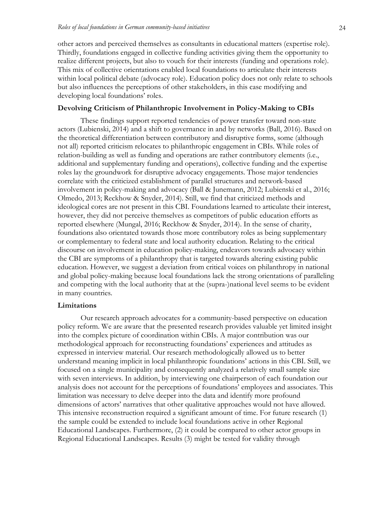other actors and perceived themselves as consultants in educational matters (expertise role). Thirdly, foundations engaged in collective funding activities giving them the opportunity to realize different projects, but also to vouch for their interests (funding and operations role). This mix of collective orientations enabled local foundations to articulate their interests within local political debate (advocacy role). Education policy does not only relate to schools but also influences the perceptions of other stakeholders, in this case modifying and developing local foundations' roles.

#### **Devolving Criticism of Philanthropic Involvement in Policy-Making to CBIs**

These findings support reported tendencies of power transfer toward non-state actors (Lubienski, 2014) and a shift to governance in and by networks (Ball, 2016). Based on the theoretical differentiation between contributory and disruptive forms, some (although not all) reported criticism relocates to philanthropic engagement in CBIs. While roles of relation-building as well as funding and operations are rather contributory elements (i.e., additional and supplementary funding and operations), collective funding and the expertise roles lay the groundwork for disruptive advocacy engagements. Those major tendencies correlate with the criticized establishment of parallel structures and network-based involvement in policy-making and advocacy (Ball & Junemann, 2012; Lubienski et al., 2016; Olmedo, 2013; Reckhow & Snyder, 2014). Still, we find that criticized methods and ideological cores are not present in this CBI. Foundations learned to articulate their interest, however, they did not perceive themselves as competitors of public education efforts as reported elsewhere (Mungal, 2016; Reckhow & Snyder, 2014). In the sense of charity, foundations also orientated towards those more contributory roles as being supplementary or complementary to federal state and local authority education. Relating to the critical discourse on involvement in education policy-making, endeavors towards advocacy within the CBI are symptoms of a philanthropy that is targeted towards altering existing public education. However, we suggest a deviation from critical voices on philanthropy in national and global policy-making because local foundations lack the strong orientations of paralleling and competing with the local authority that at the (supra-)national level seems to be evident in many countries.

#### **Limitations**

Our research approach advocates for a community-based perspective on education policy reform. We are aware that the presented research provides valuable yet limited insight into the complex picture of coordination within CBIs. A major contribution was our methodological approach for reconstructing foundations' experiences and attitudes as expressed in interview material. Our research methodologically allowed us to better understand meaning implicit in local philanthropic foundations' actions in this CBI. Still, we focused on a single municipality and consequently analyzed a relatively small sample size with seven interviews. In addition, by interviewing one chairperson of each foundation our analysis does not account for the perceptions of foundations' employees and associates. This limitation was necessary to delve deeper into the data and identify more profound dimensions of actors' narratives that other qualitative approaches would not have allowed. This intensive reconstruction required a significant amount of time. For future research (1) the sample could be extended to include local foundations active in other Regional Educational Landscapes. Furthermore, (2) it could be compared to other actor groups in Regional Educational Landscapes. Results (3) might be tested for validity through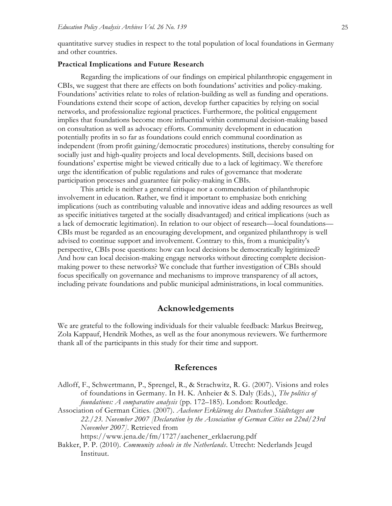quantitative survey studies in respect to the total population of local foundations in Germany and other countries.

#### **Practical Implications and Future Research**

Regarding the implications of our findings on empirical philanthropic engagement in CBIs, we suggest that there are effects on both foundations' activities and policy-making. Foundations' activities relate to roles of relation-building as well as funding and operations. Foundations extend their scope of action, develop further capacities by relying on social networks, and professionalize regional practices. Furthermore, the political engagement implies that foundations become more influential within communal decision-making based on consultation as well as advocacy efforts. Community development in education potentially profits in so far as foundations could enrich communal coordination as independent (from profit gaining/democratic procedures) institutions, thereby consulting for socially just and high-quality projects and local developments. Still, decisions based on foundations' expertise might be viewed critically due to a lack of legitimacy. We therefore urge the identification of public regulations and rules of governance that moderate participation processes and guarantee fair policy-making in CBIs.

This article is neither a general critique nor a commendation of philanthropic involvement in education. Rather, we find it important to emphasize both enriching implications (such as contributing valuable and innovative ideas and adding resources as well as specific initiatives targeted at the socially disadvantaged) and critical implications (such as a lack of democratic legitimation). In relation to our object of research—local foundations— CBIs must be regarded as an encouraging development, and organized philanthropy is well advised to continue support and involvement. Contrary to this, from a municipality's perspective, CBIs pose questions: how can local decisions be democratically legitimized? And how can local decision-making engage networks without directing complete decisionmaking power to these networks? We conclude that further investigation of CBIs should focus specifically on governance and mechanisms to improve transparency of all actors, including private foundations and public municipal administrations, in local communities.

### **Acknowledgements**

We are grateful to the following individuals for their valuable feedback: Markus Breitweg, Zola Kappauf, Hendrik Mothes, as well as the four anonymous reviewers. We furthermore thank all of the participants in this study for their time and support.

#### **References**

Adloff, F., Schwertmann, P., Sprengel, R., & Strachwitz, R. G. (2007). Visions and roles of foundations in Germany. In H. K. Anheier & S. Daly (Eds.), *The politics of foundations: A comparative analysis* (pp. 172–185). London: Routledge.

Association of German Cities. (2007). *Aachener Erklärung des Deutschen Städtetages am 22./23. November 2007 [Declaration by the Association of German Cities on 22nd/23rd November 2007]*. Retrieved from

[https://www.jena.de/fm/1727/aachener\\_erklaerung.pdf](https://www.jena.de/fm/1727/aachener_erklaerung.pdf)

Bakker, P. P. (2010). *Community schools in the Netherlands*. Utrecht: Nederlands Jeugd Instituut.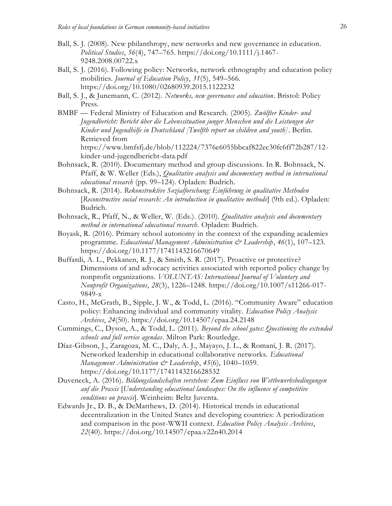- Ball, S. J. (2008). New philanthropy, new networks and new governance in education. *Political Studies*, *56*(4), 747–765. [https://doi.org/10.1111/j.1467-](https://doi.org/10.1111/j.1467-9248.2008.00722.x) [9248.2008.00722.x](https://doi.org/10.1111/j.1467-9248.2008.00722.x)
- Ball, S. J. (2016). Following policy: Networks, network ethnography and education policy mobilities. *Journal of Education Policy*, *31*(5), 549–566. <https://doi.org/10.1080/02680939.2015.1122232>
- Ball, S. J., & Junemann, C. (2012). *Networks, new governance and education*. Bristol: Policy Press.
- BMBF Federal Ministry of Education and Research. (2005). *Zwölfter Kinder- und Jugendbericht: Bericht über die Lebenssituation junger Menschen und die Leistungen der Kinder und Jugendhilfe in Deutschland [Twelfth report on children and youth]*. Berlin. Retrieved from [https://www.bmfsfj.de/blob/112224/7376e6055bbcaf822ec30fc6ff72b287/12-](https://www.bmfsfj.de/blob/112224/7376e6055bbcaf822ec30fc6ff72b287/12-kinder-und-jugendbericht-data.pdf)

[kinder-und-jugendbericht-data.pdf](https://www.bmfsfj.de/blob/112224/7376e6055bbcaf822ec30fc6ff72b287/12-kinder-und-jugendbericht-data.pdf)

- Bohnsack, R. (2010). Documentary method and group discussions. In R. Bohnsack, N. Pfaff, & W. Weller (Eds.), *Qualitative analysis and documentary method in international educational research* (pp. 99–124). Opladen: Budrich.
- Bohnsack, R. (2014). *Rekonstruktive Sozialforschung: Einführung in qualitative Methoden* [*Reconstructive social research: An introduction in qualitative methods*] (9th ed.). Opladen: Budrich.
- Bohnsack, R., Pfaff, N., & Weller, W. (Eds.). (2010). *Qualitative analysis and documentary method in international educational research.* Opladen: Budrich.
- Boyask, R. (2016). Primary school autonomy in the context of the expanding academies programme. *Educational Management Administration & Leadership*, *46*(1), 107–123. <https://doi.org/10.1177/1741143216670649>
- Buffardi, A. L., Pekkanen, R. J., & Smith, S. R. (2017). Proactive or protective? Dimensions of and advocacy activities associated with reported policy change by nonprofit organizations. *VOLUNTAS: International Journal of Voluntary and Nonprofit Organizations*, *28*(3), 1226–1248. [https://doi.org/10.1007/s11266-017-](https://doi.org/10.1007/s11266-017-9849-x) [9849-x](https://doi.org/10.1007/s11266-017-9849-x)
- Casto, H., McGrath, B., Sipple, J. W., & Todd, L. (2016). "Community Aware" education policy: Enhancing individual and community vitality. *Education Policy Analysis Archives*, *24*(50).<https://doi.org/10.14507/epaa.24.2148>
- Cummings, C., Dyson, A., & Todd, L. (2011). *Beyond the school gates: Questioning the extended schools and full service agendas*. Milton Park: Routledge.
- Díaz-Gibson, J., Zaragoza, M. C., Daly, A. J., Mayayo, J. L., & Romaní, J. R. (2017). Networked leadership in educational collaborative networks. *Educational Management Administration & Leadership*, *45*(6), 1040–1059. <https://doi.org/10.1177/1741143216628532>
- Duveneck, A. (2016). *Bildungslandschaften verstehen: Zum Einfluss von Wettbewerbsbedingungen auf die Praxis* [*Understanding educational landscapes: On the influence of competitive conditions on praxis*]. Weinheim: Beltz Juventa.
- Edwards Jr., D. B., & DeMatthews, D. (2014). Historical trends in educational decentralization in the United States and developing countries: A periodization and comparison in the post-WWII context. *Education Policy Analysis Archives*, *22*(40).<https://doi.org/10.14507/epaa.v22n40.2014>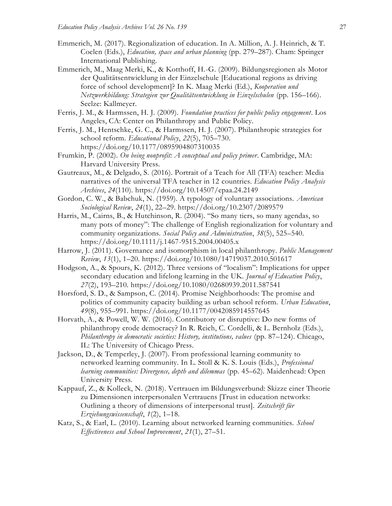- Emmerich, M. (2017). Regionalization of education. In A. Million, A. J. Heinrich, & T. Coelen (Eds.), *Education, space and urban planning* (pp. 279–287). Cham: Springer International Publishing.
- Emmerich, M., Maag Merki, K., & Kotthoff, H.-G. (2009). Bildungsregionen als Motor der Qualitätsentwicklung in der Einzelschule [Educational regions as driving force of school development]? In K. Maag Merki (Ed.), *Kooperation und Netzwerkbildung: Strategien zur Qualitätsentwicklung in Einzelschulen* (pp. 156–166). Seelze: Kallmeyer.
- Ferris, J. M., & Harmssen, H. J. (2009). *Foundation practices for public policy engagement*. Los Angeles, CA: Center on Philanthropy and Public Policy.
- Ferris, J. M., Hentschke, G. C., & Harmssen, H. J. (2007). Philanthropic strategies for school reform. *Educational Policy*, *22*(5), 705–730. <https://doi.org/10.1177/0895904807310035>
- Frumkin, P. (2002). *On being nonprofit: A conceptual and policy primer*. Cambridge, MA: Harvard University Press.
- Gautreaux, M., & Delgado, S. (2016). Portrait of a Teach for All (TFA) teacher: Media narratives of the universal TFA teacher in 12 countries. *Education Policy Analysis Archives*, *24*(110).<https://doi.org/10.14507/epaa.24.2149>
- Gordon, C. W., & Babchuk, N. (1959). A typology of voluntary associations. *American Sociological Review*, *24*(1), 22–29.<https://doi.org/10.2307/2089579>
- Harris, M., Cairns, B., & Hutchinson, R. (2004). "So many tiers, so many agendas, so many pots of money": The challenge of English regionalization for voluntary and community organizations. *Social Policy and Administration*, *38*(5), 525–540. <https://doi.org/10.1111/j.1467-9515.2004.00405.x>
- Harrow, J. (2011). Governance and isomorphism in local philanthropy. *Public Management Review*, *13*(1), 1–20.<https://doi.org/10.1080/14719037.2010.501617>
- Hodgson, A., & Spours, K. (2012). Three versions of "localism": Implications for upper secondary education and lifelong learning in the UK. *Journal of Education Policy*, *27*(2), 193–210.<https://doi.org/10.1080/02680939.2011.587541>
- Horsford, S. D., & Sampson, C. (2014). Promise Neighborhoods: The promise and politics of community capacity building as urban school reform. *Urban Education*, *49*(8), 955–991.<https://doi.org/10.1177/0042085914557645>
- Horvath, A., & Powell, W. W. (2016). Contributory or disruptive: Do new forms of philanthropy erode democracy? In R. Reich, C. Cordelli, & L. Bernholz (Eds.), *Philanthropy in democratic societies: History, institutions, values (pp. 87–124). Chicago,* IL: The University of Chicago Press.
- Jackson, D., & Temperley, J. (2007). From professional learning community to networked learning community. In L. Stoll & K. S. Louis (Eds.), *Professional learning communities: Divergence, depth and dilemmas* (pp. 45–62). Maidenhead: Open University Press.
- Kappauf, Z., & Kolleck, N. (2018). Vertrauen im Bildungsverbund: Skizze einer Theorie zu Dimensionen interpersonalen Vertrauens [Trust in education networks: Outlining a theory of dimensions of interpersonal trust]. *Zeitschrift für Erziehungswissenschaft*, *1*(2), 1–18.
- Katz, S., & Earl, L. (2010). Learning about networked learning communities. *School Effectiveness and School Improvement*, *21*(1), 27–51.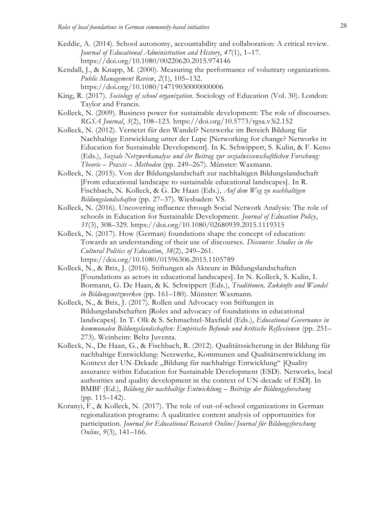- Keddie, A. (2014). School autonomy, accountability and collaboration: A critical review. *Journal of Educational Administration and History*, *47*(1), 1–17. <https://doi.org/10.1080/00220620.2015.974146>
- Kendall, J., & Knapp, M. (2000). Measuring the performance of voluntary organizations. *Public Management Review*, *2*(1), 105–132. <https://doi.org/10.1080/14719030000000006>
- King, R. (2017). *Sociology of school organization*. Sociology of Education (Vol. 30). London: Taylor and Francis.
- Kolleck, N. (2009). Business power for sustainable development: The role of discourses. *RGSA Journal*, *3*(2), 108–123.<https://doi.org/10.5773/rgsa.v3i2.152>
- Kolleck, N. (2012). Vernetzt für den Wandel? Netzwerke im Bereich Bildung für Nachhaltige Entwicklung unter der Lupe [Networking for change? Networks in Education for Sustainable Development]. In K. Schwippert, S. Kulin, & F. Keno (Eds.), *Soziale Netzwerkanalyse und ihr Beitrag zur sozialwissenschaftlichen Forschung: Theorie – Praxis – Methoden* (pp. 249–267). Münster: Waxmann.
- Kolleck, N. (2015). Von der Bildungslandschaft zur nachhaltigen Bildungslandschaft [From educational landscape to sustainable educational landscapes]. In R. Fischbach, N. Kolleck, & G. De Haan (Eds.), *Auf dem Weg zu nachhaltigen Bildungslandschaften* (pp. 27–37). Wiesbaden: VS.
- Kolleck, N. (2016). Uncovering influence through Social Network Analysis: The role of schools in Education for Sustainable Development. *Journal of Education Policy*, *31*(3), 308–329.<https://doi.org/10.1080/02680939.2015.1119315>
- Kolleck, N. (2017). How (German) foundations shape the concept of education: Towards an understanding of their use of discourses. *Discourse: Studies in the Cultural Politics of Education*, *38*(2), 249–261. <https://doi.org/10.1080/01596306.2015.1105789>
- Kolleck, N., & Brix, J. (2016). Stiftungen als Akteure in Bildungslandschaften [Foundations as actors in educational landscapes]. In N. Kolleck, S. Kulin, I. Bormann, G. De Haan, & K. Schwippert (Eds.), *Traditionen, Zukünfte und Wandel in Bildungsnetzwerken* (pp. 161–180). Münster: Waxmann.
- Kolleck, N., & Brix, J. (2017). Rollen und Advocacy von Stiftungen in Bildungslandschaften [Roles and advocacy of foundations in educational landscapes]. In T. Olk & S. Schmachtel-Maxfield (Eds.), *Educational Governance in kommunalen Bildungslandschaften: Empirische Befunde und kritische Reflexionen* (pp. 251– 273). Weinheim: Beltz Juventa.
- Kolleck, N., De Haan, G., & Fischbach, R. (2012). Qualitätssicherung in der Bildung für nachhaltige Entwicklung: Netzwerke, Kommunen und Qualitätsentwicklung im Kontext der UN-Dekade "Bildung für nachhaltige Entwicklung" [Quality assurance within Education for Sustainable Development (ESD). Networks, local authorities and quality development in the context of UN-decade of ESD]. In BMBF (Ed.), *Bildung für nachhaltige Entwicklung – Beiträge der Bildungsforschung*  (pp. 115–142).
- Koranyi, F., & Kolleck, N. (2017). The role of out-of-school organizations in German regionalization programs: A qualitative content analysis of opportunities for participation. *Journal for Educational Research Online/Journal für Bildungsforschung Online*, *9*(3), 141–166.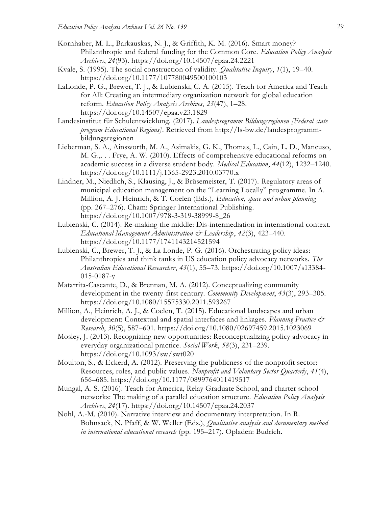- Kornhaber, M. L., Barkauskas, N. J., & Griffith, K. M. (2016). Smart money? Philanthropic and federal funding for the Common Core. *Education Policy Analysis Archives*, *24*(93).<https://doi.org/10.14507/epaa.24.2221>
- Kvale, S. (1995). The social construction of validity. *Qualitative Inquiry*, *1*(1), 19–40. <https://doi.org/10.1177/107780049500100103>
- LaLonde, P. G., Brewer, T. J., & Lubienski, C. A. (2015). Teach for America and Teach for All: Creating an intermediary organization network for global education reform. *Education Policy Analysis Archives*, *23*(47), 1–28. <https://doi.org/10.14507/epaa.v23.1829>
- Landesinstitut für Schulentwicklung. (2017). *Landesprogramm Bildungsregionen [Federal state program Educational Regions]*. Retrieved from [http://ls-bw.de/landesprogramm](http://ls-bw.de/landesprogramm-bildungsregionen)[bildungsregionen](http://ls-bw.de/landesprogramm-bildungsregionen)
- Lieberman, S. A., Ainsworth, M. A., Asimakis, G. K., Thomas, L., Cain, L. D., Mancuso, M. G.,. . . Frye, A. W. (2010). Effects of comprehensive educational reforms on academic success in a diverse student body. *Medical Education*, *44*(12), 1232–1240. <https://doi.org/10.1111/j.1365-2923.2010.03770.x>
- Lindner, M., Niedlich, S., Klausing, J., & Brüsemeister, T. (2017). Regulatory areas of municipal education management on the "Learning Locally" programme. In A. Million, A. J. Heinrich, & T. Coelen (Eds.), *Education, space and urban planning*  (pp. 267–276). Cham: Springer International Publishing. [https://doi.org/10.1007/978-3-319-38999-8\\_26](https://doi.org/10.1007/978-3-319-38999-8_26)
- Lubienski, C. (2014). Re-making the middle: Dis-intermediation in international context. *Educational Management Administration & Leadership*, *42*(3), 423–440. <https://doi.org/10.1177/1741143214521594>
- Lubienski, C., Brewer, T. J., & La Londe, P. G. (2016). Orchestrating policy ideas: Philanthropies and think tanks in US education policy advocacy networks. *The Australian Educational Researcher*, *43*(1), 55–73. [https://doi.org/10.1007/s13384-](https://doi.org/10.1007/s13384-015-0187-y) [015-0187-y](https://doi.org/10.1007/s13384-015-0187-y)
- Matarrita-Cascante, D., & Brennan, M. A. (2012). Conceptualizing community development in the twenty-first century. *Community Development*, *43*(3), 293–305. <https://doi.org/10.1080/15575330.2011.593267>
- Million, A., Heinrich, A. J., & Coelen, T. (2015). Educational landscapes and urban development: Contextual and spatial interfaces and linkages. *Planning Practice & Research*, *30*(5), 587–601.<https://doi.org/10.1080/02697459.2015.1023069>
- Mosley, J. (2013). Recognizing new opportunities: Reconceptualizing policy advocacy in everyday organizational practice. *Social Work*, *58*(3), 231–239. <https://doi.org/10.1093/sw/swt020>
- Moulton, S., & Eckerd, A. (2012). Preserving the publicness of the nonprofit sector: Resources, roles, and public values. *Nonprofit and Voluntary Sector Quarterly*, *41*(4), 656–685.<https://doi.org/10.1177/0899764011419517>
- Mungal, A. S. (2016). Teach for America, Relay Graduate School, and charter school networks: The making of a parallel education structure. *Education Policy Analysis Archives*, *24*(17).<https://doi.org/10.14507/epaa.24.2037>
- Nohl, A.-M. (2010). Narrative interview and documentary interpretation. In R. Bohnsack, N. Pfaff, & W. Weller (Eds.), *Qualitative analysis and documentary method in international educational research* (pp. 195–217). Opladen: Budrich.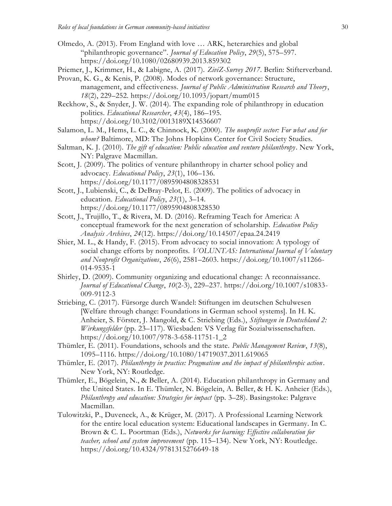- Olmedo, A. (2013). From England with love … ARK, heterarchies and global "philanthropic governance". *Journal of Education Policy*, *29*(5), 575–597. <https://doi.org/10.1080/02680939.2013.859302>
- Priemer, J., Krimmer, H., & Labigne, A. (2017). *ZiviZ-Survey 2017*. Berlin: Stifterverband.
- Provan, K. G., & Kenis, P. (2008). Modes of network governance: Structure, management, and effectiveness. *Journal of Public Administration Research and Theory*, *18*(2), 229–252.<https://doi.org/10.1093/jopart/mum015>
- Reckhow, S., & Snyder, J. W. (2014). The expanding role of philanthropy in education politics. *Educational Researcher*, *43*(4), 186–195. <https://doi.org/10.3102/0013189X14536607>
- Salamon, L. M., Hems, L. C., & Chinnock, K. (2000). *The nonprofit sector: For what and for whom?* Baltimore, MD: The Johns Hopkins Center for Civil Society Studies.
- Saltman, K. J. (2010). *The gift of education: Public education and venture philanthropy*. New York, NY: Palgrave Macmillan.
- Scott, J. (2009). The politics of venture philanthropy in charter school policy and advocacy. *Educational Policy*, *23*(1), 106–136. <https://doi.org/10.1177/0895904808328531>
- Scott, J., Lubienski, C., & DeBray-Pelot, E. (2009). The politics of advocacy in education. *Educational Policy*, *23*(1), 3–14. <https://doi.org/10.1177/0895904808328530>
- Scott, J., Trujillo, T., & Rivera, M. D. (2016). Reframing Teach for America: A conceptual framework for the next generation of scholarship. *Education Policy Analysis Archives*, *24*(12).<https://doi.org/10.14507/epaa.24.2419>
- Shier, M. L., & Handy, F. (2015). From advocacy to social innovation: A typology of social change efforts by nonprofits. *VOLUNTAS: International Journal of Voluntary and Nonprofit Organizations*, *26*(6), 2581–2603. [https://doi.org/10.1007/s11266-](https://doi.org/10.1007/s11266-014-9535-1) [014-9535-1](https://doi.org/10.1007/s11266-014-9535-1)
- Shirley, D. (2009). Community organizing and educational change: A reconnaissance. *Journal of Educational Change*, *10*(2-3), 229–237. [https://doi.org/10.1007/s10833-](https://doi.org/10.1007/s10833-009-9112-3) [009-9112-3](https://doi.org/10.1007/s10833-009-9112-3)
- Striebing, C. (2017). Fürsorge durch Wandel: Stiftungen im deutschen Schulwesen [Welfare through change: Foundations in German school systems]. In H. K. Anheier, S. Förster, J. Mangold, & C. Striebing (Eds.), *Stiftungen in Deutschland 2: Wirkungsfelder* (pp. 23–117). Wiesbaden: VS Verlag für Sozialwissenschaften. [https://doi.org/10.1007/978-3-658-11751-1\\_2](https://doi.org/10.1007/978-3-658-11751-1_2)
- Thümler, E. (2011). Foundations, schools and the state. *Public Management Review*, *13*(8), 1095–1116.<https://doi.org/10.1080/14719037.2011.619065>
- Thümler, E. (2017). *Philanthropy in practice: Pragmatism and the impact of philanthropic action*. New York, NY: Routledge.
- Thümler, E., Bögelein, N., & Beller, A. (2014). Education philanthropy in Germany and the United States. In E. Thümler, N. Bögelein, A. Beller, & H. K. Anheier (Eds.), *Philanthropy and education: Strategies for impact* (pp. 3–28). Basingstoke: Palgrave Macmillan.
- Tulowitzki, P., Duveneck, A., & Krüger, M. (2017). A Professional Learning Network for the entire local education system: Educational landscapes in Germany. In C. Brown & C. L. Poortman (Eds.), *Networks for learning: Effective collaboration for teacher, school and system improvement* (pp. 115–134). New York, NY: Routledge. <https://doi.org/10.4324/9781315276649-18>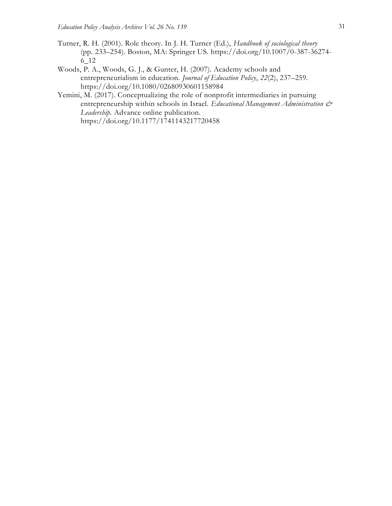- Turner, R. H. (2001). Role theory. In J. H. Turner (Ed.), *Handbook of sociological theory*  (pp. 233–254). Boston, MA: Springer US. [https://doi.org/10.1007/0-387-36274-](https://doi.org/10.1007/0-387-36274-6_12) [6\\_12](https://doi.org/10.1007/0-387-36274-6_12)
- Woods, P. A., Woods, G. J., & Gunter, H. (2007). Academy schools and entrepreneurialism in education. *Journal of Education Policy*, *22*(2), 237–259. <https://doi.org/10.1080/02680930601158984>
- Yemini, M. (2017). Conceptualizing the role of nonprofit intermediaries in pursuing entrepreneurship within schools in Israel. *Educational Management Administration & Leadership.* Advance online publication. <https://doi.org/10.1177/1741143217720458>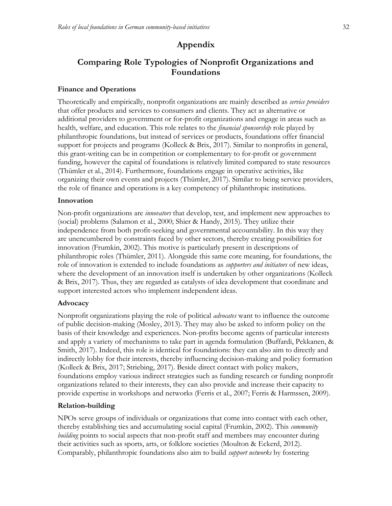# **Appendix**

# **Comparing Role Typologies of Nonprofit Organizations and Foundations**

# **Finance and Operations**

Theoretically and empirically, nonprofit organizations are mainly described as *service providers* that offer products and services to consumers and clients. They act as alternative or additional providers to government or for-profit organizations and engage in areas such as health, welfare, and education. This role relates to the *financial sponsorship* role played by philanthropic foundations, but instead of services or products, foundations offer financial support for projects and programs (Kolleck & Brix, 2017). Similar to nonprofits in general, this grant-writing can be in competition or complementary to for-profit or government funding, however the capital of foundations is relatively limited compared to state resources (Thümler et al., 2014). Furthermore, foundations engage in operative activities, like organizing their own events and projects (Thümler, 2017). Similar to being service providers, the role of finance and operations is a key competency of philanthropic institutions.

# **Innovation**

Non-profit organizations are *innovators* that develop, test, and implement new approaches to (social) problems (Salamon et al., 2000; Shier & Handy, 2015). They utilize their independence from both profit-seeking and governmental accountability. In this way they are unencumbered by constraints faced by other sectors, thereby creating possibilities for innovation (Frumkin, 2002). This motive is particularly present in descriptions of philanthropic roles (Thümler, 2011). Alongside this same core meaning, for foundations, the role of innovation is extended to include foundations as *supporters and initiators* of new ideas, where the development of an innovation itself is undertaken by other organizations (Kolleck & Brix, 2017). Thus, they are regarded as catalysts of idea development that coordinate and support interested actors who implement independent ideas.

# **Advocacy**

Nonprofit organizations playing the role of political *advocates* want to influence the outcome of public decision-making (Mosley, 2013). They may also be asked to inform policy on the basis of their knowledge and experiences. Non-profits become agents of particular interests and apply a variety of mechanisms to take part in agenda formulation (Buffardi, Pekkanen, & Smith, 2017). Indeed, this role is identical for foundations: they can also aim to directly and indirectly lobby for their interests, thereby influencing decision-making and policy formation (Kolleck & Brix, 2017; Striebing, 2017). Beside direct contact with policy makers, foundations employ various indirect strategies such as funding research or funding nonprofit organizations related to their interests, they can also provide and increase their capacity to provide expertise in workshops and networks (Ferris et al., 2007; Ferris & Harmssen, 2009).

# **Relation-building**

NPOs serve groups of individuals or organizations that come into contact with each other, thereby establishing ties and accumulating social capital (Frumkin, 2002). This *community building* points to social aspects that non-profit staff and members may encounter during their activities such as sports, arts, or folklore societies (Moulton & Eckerd, 2012). Comparably, philanthropic foundations also aim to build *support networks* by fostering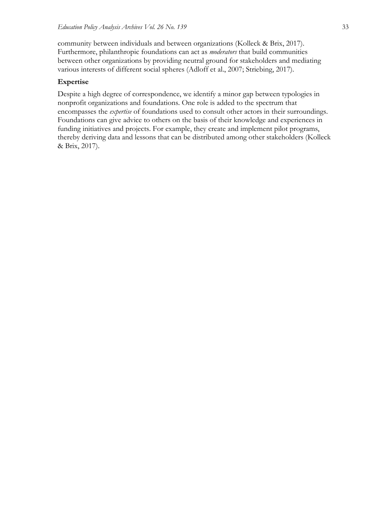community between individuals and between organizations (Kolleck & Brix, 2017). Furthermore, philanthropic foundations can act as *moderators* that build communities between other organizations by providing neutral ground for stakeholders and mediating various interests of different social spheres (Adloff et al., 2007; Striebing, 2017).

# **Expertise**

Despite a high degree of correspondence, we identify a minor gap between typologies in nonprofit organizations and foundations. One role is added to the spectrum that encompasses the *expertise* of foundations used to consult other actors in their surroundings. Foundations can give advice to others on the basis of their knowledge and experiences in funding initiatives and projects. For example, they create and implement pilot programs, thereby deriving data and lessons that can be distributed among other stakeholders (Kolleck & Brix, 2017).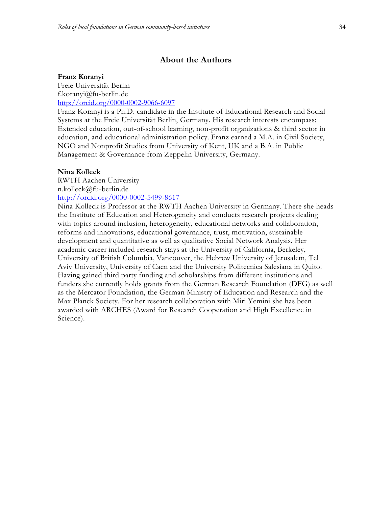# **About the Authors**

#### **Franz Koranyi**

Freie Universität Berlin f.koranyi@fu-berlin.de <http://orcid.org/0000-0002-9066-6097>

Franz Koranyi is a Ph.D. candidate in the Institute of Educational Research and Social Systems at the Freie Universität Berlin, Germany. His research interests encompass: Extended education, out-of-school learning, non-profit organizations & third sector in education, and educational administration policy. Franz earned a M.A. in Civil Society, NGO and Nonprofit Studies from University of Kent, UK and a B.A. in Public Management & Governance from Zeppelin University, Germany.

#### **Nina Kolleck**

RWTH Aachen University n.kolleck@fu-berlin.de <http://orcid.org/0000-0002-5499-8617>

Nina Kolleck is Professor at the RWTH Aachen University in Germany. There she heads the Institute of Education and Heterogeneity and conducts research projects dealing with topics around inclusion, heterogeneity, educational networks and collaboration, reforms and innovations, educational governance, trust, motivation, sustainable development and quantitative as well as qualitative Social Network Analysis. Her academic career included research stays at the University of California, Berkeley, University of British Columbia, Vancouver, the Hebrew University of Jerusalem, Tel Aviv University, University of Caen and the University Politecnica Salesiana in Quito. Having gained third party funding and scholarships from different institutions and funders she currently holds grants from the German Research Foundation (DFG) as well as the Mercator Foundation, the German Ministry of Education and Research and the Max Planck Society. For her research collaboration with Miri Yemini she has been awarded with ARCHES (Award for Research Cooperation and High Excellence in Science).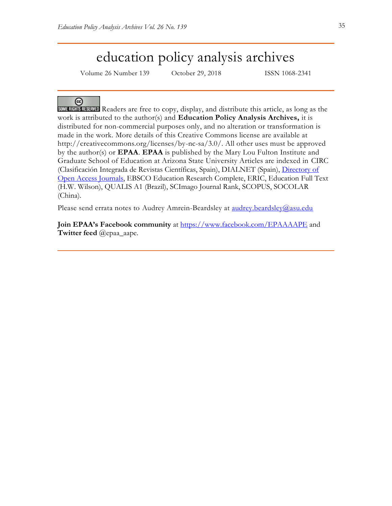# education policy analysis archives

Volume 26 Number 139 October 29, 2018 ISSN 1068-2341

# ⊛

SOME RIGHTS RESERVED Readers are free to copy, display, and distribute this article, as long as the work is attributed to the author(s) and **Education Policy Analysis Archives,** it is distributed for non-commercial purposes only, and no alteration or transformation is made in the work. More details of this Creative Commons license are available at http://creativecommons.org/licenses/by-nc-sa/3.0/. All other uses must be approved by the author(s) or **EPAA**. **EPAA** is published by the Mary Lou Fulton Institute and Graduate School of Education at Arizona State University Articles are indexed in CIRC (Clasificación Integrada de Revistas Científicas, Spain), DIALNET (Spain), [Directory of](http://www.doaj.org/)  [Open Access Journals,](http://www.doaj.org/) EBSCO Education Research Complete, ERIC, Education Full Text (H.W. Wilson), QUALIS A1 (Brazil), SCImago Journal Rank, SCOPUS, SOCOLAR (China).

Please send errata notes to Audrey Amrein-Beardsley at [audrey.beardsley@asu.edu](mailto:audrey.beardsley@asu.edu)

**Join EPAA's Facebook community** at<https://www.facebook.com/EPAAAAPE> and **Twitter feed** @epaa\_aape.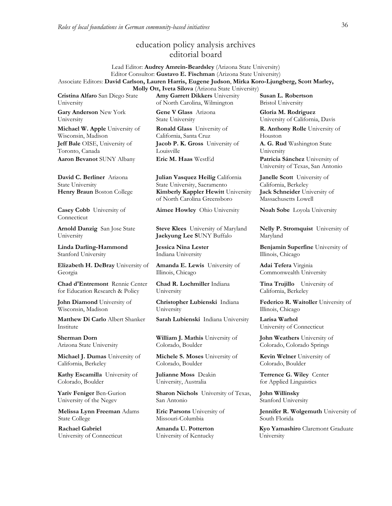# education policy analysis archives editorial board

#### Lead Editor: **Audrey Amrein-Beardsley** (Arizona State University) Editor Consultor: **Gustavo E. Fischman** (Arizona State University) Associate Editors: **David Carlson, Lauren Harris, Eugene Judson**, **Mirka Koro-Ljungberg, Scott Marley, Molly Ott, Iveta Silova** (Arizona State University)

**Cristina Alfaro** San Diego State University **Gary Anderson** New York University

**Michael W. Apple** University of Wisconsin, Madison **Jeff Bale** OISE, University of Toronto, Canada **Aaron Bevanot** SUNY Albany **Eric M. Haas** WestEd **Patricia Sánchez** University of

**David C. Berliner** Arizona State University

**Casey Cobb** University of Connecticut

**Arnold Danzig** San Jose State University

**Linda Darling-Hammond**  Stanford University

**Elizabeth H. DeBray** University of Georgia

**Chad d'Entremont** Rennie Center for Education Research & Policy

**John Diamond** University of Wisconsin, Madison

**Matthew Di Carlo** Albert Shanker Institute

**Sherman Dorn** Arizona State University

**Michael J. Dumas** University of California, Berkeley

**Kathy Escamilla** University of Colorado, Boulder

**Yariv Feniger** Ben-Gurion University of the Negev

**Melissa Lynn Freeman** Adams State College

**Rachael Gabriel** University of Connecticut **Amy Garrett Dikkers** University of North Carolina, Wilmington **Gene V Glass** Arizona

State University

**Ronald Glass** University of California, Santa Cruz **Jacob P. K. Gross** University of Louisville

**Julian Vasquez Heilig** California State University, Sacramento **Henry Braun** Boston College **Kimberly Kappler Hewitt** University of North Carolina Greensboro

**Aimee Howley** Ohio University **Noah Sobe** Loyola University

**Steve Klees** University of Maryland **Jaekyung Lee S**UNY Buffalo

**Jessica Nina Lester** Indiana University

**Amanda E. Lewis** University of Illinois, Chicago

**Chad R. Lochmiller** Indiana University

**Christopher Lubienski** Indiana University

**Sarah Lubienski** Indiana University **Larisa Warhol**

**William J. Mathis** University of Colorado, Boulder

**Michele S. Moses** University of Colorado, Boulder

**Julianne Moss** Deakin University, Australia

**Sharon Nichols** University of Texas, San Antonio

**Eric Parsons** University of Missouri-Columbia

**Amanda U. Potterton** University of Kentucky

**Susan L. Robertson** Bristol University

**Gloria M. Rodriguez** University of California, Davis

**R. Anthony Rolle** University of Houston **A. G. Rud** Washington State

University University of Texas, San Antonio

**Janelle Scott** University of California, Berkeley **Jack Schneider** University of Massachusetts Lowell

**Nelly P. Stromquist** University of Maryland

**Benjamin Superfine** University of Illinois, Chicago

**Adai Tefera** Virginia Commonwealth University

**Tina Trujillo** University of California, Berkeley

**Federico R. Waitoller** University of Illinois, Chicago

University of Connecticut

**John Weathers** University of Colorado, Colorado Springs

**Kevin Welner** University of Colorado, Boulder

**Terrence G. Wiley** Center for Applied Linguistics

**John Willinsky**  Stanford University

**Jennifer R. Wolgemuth** University of South Florida

**Kyo Yamashiro** Claremont Graduate University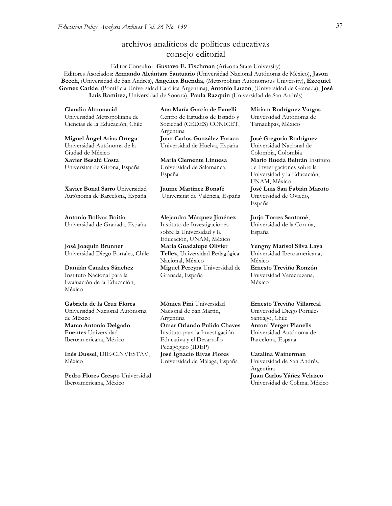# archivos analíticos de políticas educativas consejo editorial

Editor Consultor: **Gustavo E. Fischman** (Arizona State University) Editores Asociados: **Armando Alcántara Santuario** (Universidad Nacional Autónoma de México), **Jason Beech**, (Universidad de San Andrés), **Angelica Buendia**, (Metropolitan Autonomous University), **Ezequiel Gomez Caride**, (Pontificia Universidad Católica Argentina), **Antonio Luzon**, (Universidad de Granada), **José Luis Ramírez,** Universidad de Sonora), **[Paula Razquin](javascript:openRTWindow()** (Universidad de San Andrés)

**Claudio Almonacid** Universidad Metropolitana de Ciencias de la Educación, Chile

**Miguel Ángel Arias Ortega**  Universidad Autónoma de la Ciudad de México **Xavier Besalú Costa**  Universitat de Girona, España

**[Xavier Bonal](javascript:openRTWindow() Sarro** Universidad Autónoma de Barcelona, España

**[Antonio Bolívar](javascript:openRTWindow() Boitia** Universidad de Granada, España

**[José Joaquín Brunner](javascript:openRTWindow()** Universidad Diego Portales, Chile

**[Damián Canales Sánchez](javascript:openRTWindow()** Instituto Nacional para la Evaluación de la Educación, México

**Gabriela de la Cruz Flores** Universidad Nacional Autónoma de México **[Marco Antonio Delgado](javascript:openRTWindow()  [Fuentes](javascript:openRTWindow()** Universidad Iberoamericana, México

**[Inés Dussel](javascript:openRTWindow()**, DIE-CINVESTAV, México

**[Pedro Flores Crespo](javascript:openRTWindow()** Universidad Iberoamericana, México

**Ana María García de Fanelli**  Centro de Estudios de Estado y Sociedad (CEDES) CONICET, Argentina

**Juan Carlos González Faraco**  Universidad de Huelva, España

**María Clemente Linuesa**  Universidad de Salamanca, España

**Jaume Martínez Bonafé** Universitat de València, España

#### **Alejandro Márquez Jiménez**

Instituto de Investigaciones sobre la Universidad y la Educación, UNAM, México **María Guadalupe Olivier Tellez**, Universidad Pedagógica Nacional, México **[Miguel Pereyra](javascript:openRTWindow()** Universidad de Granada, España

**[Mónica Pini](javascript:openRTWindow()** Universidad Nacional de San Martín, Argentina **Omar Orlando Pulido Chaves** Instituto para la Investigación Educativa y el Desarrollo Pedagógico (IDEP) **José Ignacio Rivas Flores** Universidad de Málaga, España

**[Miriam Rodríguez Vargas](javascript:openRTWindow()** Universidad Autónoma de Tamaulipas, México

**José Gregorio Rodríguez**  Universidad Nacional de Colombia, Colombia **[Mario Rueda Beltrán](javascript:openRTWindow()** Instituto de Investigaciones sobre la Universidad y la Educación, UNAM, México **José Luis San Fabián Maroto**  Universidad de Oviedo, España

**[Jurjo Torres Santomé](javascript:openRTWindow()**, Universidad de la Coruña, España

**[Yengny Marisol Silva Laya](javascript:openRTWindow()** Universidad Iberoamericana, México **Ernesto Treviño Ronzón**

Universidad Veracruzana, México

#### **[Ernesto Treviño](javascript:openRTWindow() Villarreal**

Universidad Diego Portales Santiago, Chile **[Antoni Verger Planells](javascript:openRTWindow()** Universidad Autónoma de Barcelona, España

**[Catalina Wainerman](javascript:openRTWindow()**

Universidad de San Andrés, Argentina **Juan Carlos Yáñez Velazco** Universidad de Colima, México